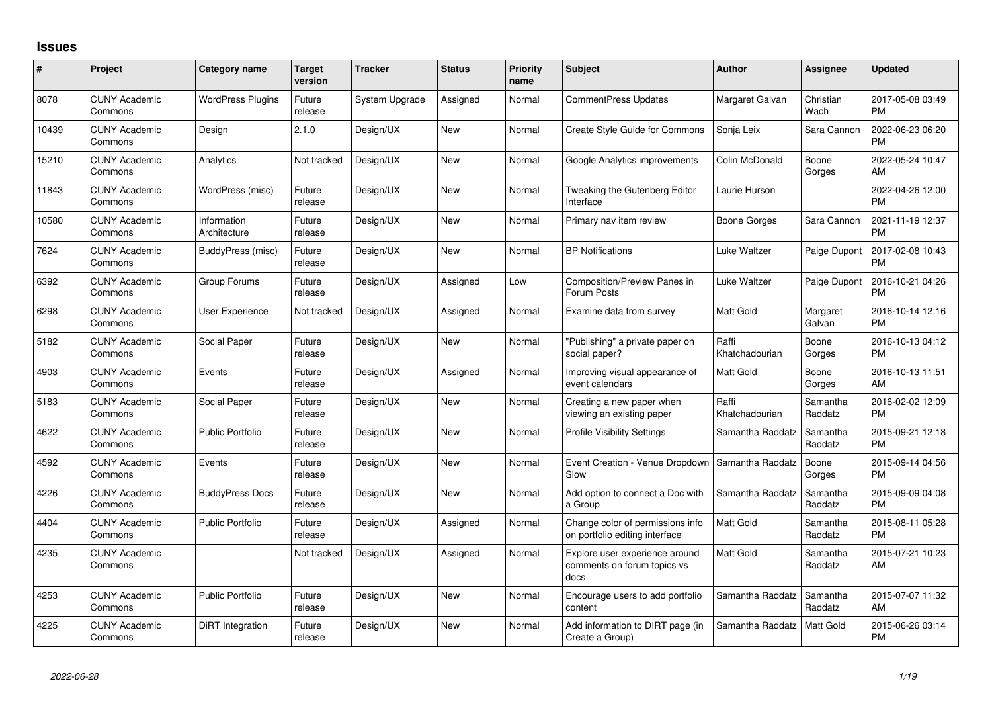## **Issues**

| #     | Project                         | <b>Category name</b>        | <b>Target</b><br>version | <b>Tracker</b> | <b>Status</b> | <b>Priority</b><br>name | <b>Subject</b>                                                        | <b>Author</b>           | <b>Assignee</b>     | <b>Updated</b>                |
|-------|---------------------------------|-----------------------------|--------------------------|----------------|---------------|-------------------------|-----------------------------------------------------------------------|-------------------------|---------------------|-------------------------------|
| 8078  | <b>CUNY Academic</b><br>Commons | <b>WordPress Plugins</b>    | Future<br>release        | System Upgrade | Assigned      | Normal                  | <b>CommentPress Updates</b>                                           | Margaret Galvan         | Christian<br>Wach   | 2017-05-08 03:49<br><b>PM</b> |
| 10439 | <b>CUNY Academic</b><br>Commons | Design                      | 2.1.0                    | Design/UX      | <b>New</b>    | Normal                  | Create Style Guide for Commons                                        | Sonja Leix              | Sara Cannon         | 2022-06-23 06:20<br><b>PM</b> |
| 15210 | <b>CUNY Academic</b><br>Commons | Analytics                   | Not tracked              | Design/UX      | <b>New</b>    | Normal                  | Google Analytics improvements                                         | Colin McDonald          | Boone<br>Gorges     | 2022-05-24 10:47<br>AM        |
| 11843 | <b>CUNY Academic</b><br>Commons | WordPress (misc)            | Future<br>release        | Design/UX      | <b>New</b>    | Normal                  | Tweaking the Gutenberg Editor<br>Interface                            | Laurie Hurson           |                     | 2022-04-26 12:00<br><b>PM</b> |
| 10580 | <b>CUNY Academic</b><br>Commons | Information<br>Architecture | Future<br>release        | Design/UX      | <b>New</b>    | Normal                  | Primary nav item review                                               | Boone Gorges            | Sara Cannon         | 2021-11-19 12:37<br><b>PM</b> |
| 7624  | <b>CUNY Academic</b><br>Commons | BuddyPress (misc)           | Future<br>release        | Design/UX      | <b>New</b>    | Normal                  | <b>BP Notifications</b>                                               | Luke Waltzer            | Paige Dupont        | 2017-02-08 10:43<br><b>PM</b> |
| 6392  | <b>CUNY Academic</b><br>Commons | Group Forums                | Future<br>release        | Design/UX      | Assigned      | Low                     | Composition/Preview Panes in<br>Forum Posts                           | Luke Waltzer            | Paige Dupont        | 2016-10-21 04:26<br><b>PM</b> |
| 6298  | <b>CUNY Academic</b><br>Commons | User Experience             | Not tracked              | Design/UX      | Assigned      | Normal                  | Examine data from survey                                              | Matt Gold               | Margaret<br>Galvan  | 2016-10-14 12:16<br><b>PM</b> |
| 5182  | <b>CUNY Academic</b><br>Commons | Social Paper                | Future<br>release        | Design/UX      | <b>New</b>    | Normal                  | "Publishing" a private paper on<br>social paper?                      | Raffi<br>Khatchadourian | Boone<br>Gorges     | 2016-10-13 04:12<br><b>PM</b> |
| 4903  | <b>CUNY Academic</b><br>Commons | Events                      | Future<br>release        | Design/UX      | Assigned      | Normal                  | Improving visual appearance of<br>event calendars                     | <b>Matt Gold</b>        | Boone<br>Gorges     | 2016-10-13 11:51<br>AM        |
| 5183  | <b>CUNY Academic</b><br>Commons | Social Paper                | Future<br>release        | Design/UX      | <b>New</b>    | Normal                  | Creating a new paper when<br>viewing an existing paper                | Raffi<br>Khatchadourian | Samantha<br>Raddatz | 2016-02-02 12:09<br><b>PM</b> |
| 4622  | <b>CUNY Academic</b><br>Commons | <b>Public Portfolio</b>     | Future<br>release        | Design/UX      | <b>New</b>    | Normal                  | <b>Profile Visibility Settings</b>                                    | Samantha Raddatz        | Samantha<br>Raddatz | 2015-09-21 12:18<br><b>PM</b> |
| 4592  | <b>CUNY Academic</b><br>Commons | Events                      | Future<br>release        | Design/UX      | <b>New</b>    | Normal                  | Event Creation - Venue Dropdown<br>Slow                               | Samantha Raddatz        | Boone<br>Gorges     | 2015-09-14 04:56<br><b>PM</b> |
| 4226  | <b>CUNY Academic</b><br>Commons | <b>BuddyPress Docs</b>      | Future<br>release        | Design/UX      | <b>New</b>    | Normal                  | Add option to connect a Doc with<br>a Group                           | Samantha Raddatz        | Samantha<br>Raddatz | 2015-09-09 04:08<br><b>PM</b> |
| 4404  | <b>CUNY Academic</b><br>Commons | <b>Public Portfolio</b>     | Future<br>release        | Design/UX      | Assigned      | Normal                  | Change color of permissions info<br>on portfolio editing interface    | Matt Gold               | Samantha<br>Raddatz | 2015-08-11 05:28<br><b>PM</b> |
| 4235  | <b>CUNY Academic</b><br>Commons |                             | Not tracked              | Design/UX      | Assigned      | Normal                  | Explore user experience around<br>comments on forum topics vs<br>docs | Matt Gold               | Samantha<br>Raddatz | 2015-07-21 10:23<br>AM        |
| 4253  | <b>CUNY Academic</b><br>Commons | <b>Public Portfolio</b>     | Future<br>release        | Design/UX      | <b>New</b>    | Normal                  | Encourage users to add portfolio<br>content                           | Samantha Raddatz        | Samantha<br>Raddatz | 2015-07-07 11:32<br>AM        |
| 4225  | <b>CUNY Academic</b><br>Commons | DiRT Integration            | Future<br>release        | Design/UX      | <b>New</b>    | Normal                  | Add information to DIRT page (in<br>Create a Group)                   | Samantha Raddatz        | Matt Gold           | 2015-06-26 03:14<br><b>PM</b> |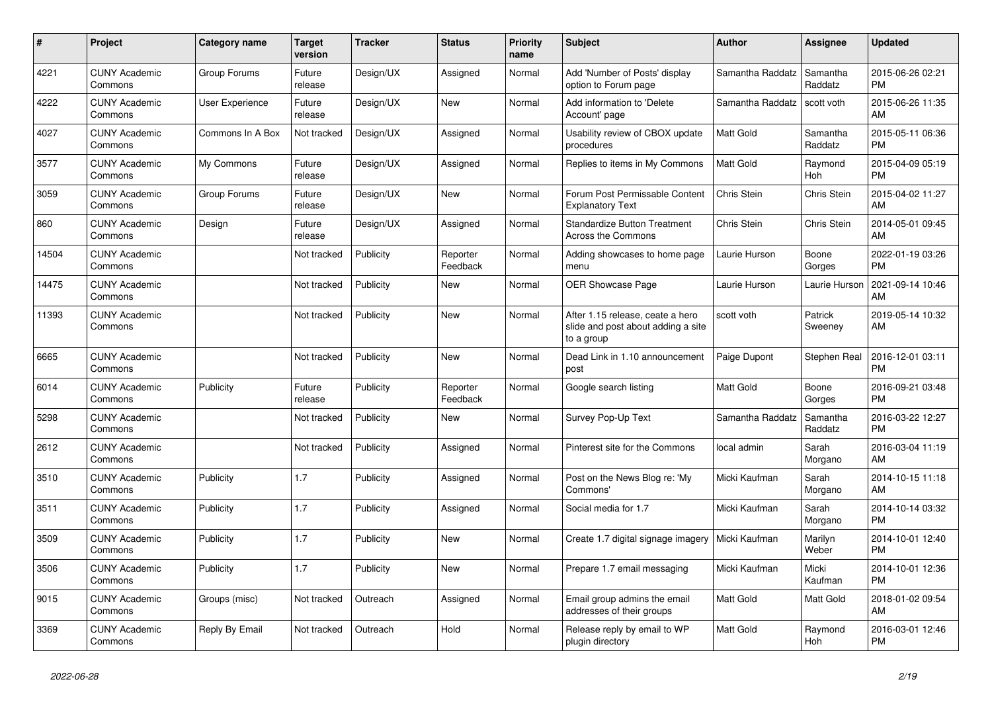| $\pmb{\#}$ | <b>Project</b>                  | Category name          | <b>Target</b><br>version | <b>Tracker</b> | <b>Status</b>        | <b>Priority</b><br>name | <b>Subject</b>                                                                       | <b>Author</b>    | <b>Assignee</b>       | <b>Updated</b>                |
|------------|---------------------------------|------------------------|--------------------------|----------------|----------------------|-------------------------|--------------------------------------------------------------------------------------|------------------|-----------------------|-------------------------------|
| 4221       | <b>CUNY Academic</b><br>Commons | Group Forums           | Future<br>release        | Design/UX      | Assigned             | Normal                  | Add 'Number of Posts' display<br>option to Forum page                                | Samantha Raddatz | Samantha<br>Raddatz   | 2015-06-26 02:21<br><b>PM</b> |
| 4222       | <b>CUNY Academic</b><br>Commons | <b>User Experience</b> | Future<br>release        | Design/UX      | <b>New</b>           | Normal                  | Add information to 'Delete<br>Account' page                                          | Samantha Raddatz | scott voth            | 2015-06-26 11:35<br>AM        |
| 4027       | <b>CUNY Academic</b><br>Commons | Commons In A Box       | Not tracked              | Design/UX      | Assigned             | Normal                  | Usability review of CBOX update<br>procedures                                        | Matt Gold        | Samantha<br>Raddatz   | 2015-05-11 06:36<br><b>PM</b> |
| 3577       | <b>CUNY Academic</b><br>Commons | My Commons             | Future<br>release        | Design/UX      | Assigned             | Normal                  | Replies to items in My Commons                                                       | Matt Gold        | Raymond<br><b>Hoh</b> | 2015-04-09 05:19<br><b>PM</b> |
| 3059       | <b>CUNY Academic</b><br>Commons | Group Forums           | Future<br>release        | Design/UX      | <b>New</b>           | Normal                  | Forum Post Permissable Content<br><b>Explanatory Text</b>                            | Chris Stein      | Chris Stein           | 2015-04-02 11:27<br>AM        |
| 860        | <b>CUNY Academic</b><br>Commons | Design                 | Future<br>release        | Design/UX      | Assigned             | Normal                  | <b>Standardize Button Treatment</b><br><b>Across the Commons</b>                     | Chris Stein      | Chris Stein           | 2014-05-01 09:45<br>AM        |
| 14504      | <b>CUNY Academic</b><br>Commons |                        | Not tracked              | Publicity      | Reporter<br>Feedback | Normal                  | Adding showcases to home page<br>menu                                                | Laurie Hurson    | Boone<br>Gorges       | 2022-01-19 03:26<br><b>PM</b> |
| 14475      | <b>CUNY Academic</b><br>Commons |                        | Not tracked              | Publicity      | <b>New</b>           | Normal                  | <b>OER Showcase Page</b>                                                             | Laurie Hurson    | Laurie Hurson         | 2021-09-14 10:46<br>AM        |
| 11393      | <b>CUNY Academic</b><br>Commons |                        | Not tracked              | Publicity      | <b>New</b>           | Normal                  | After 1.15 release, ceate a hero<br>slide and post about adding a site<br>to a group | scott voth       | Patrick<br>Sweeney    | 2019-05-14 10:32<br>AM        |
| 6665       | <b>CUNY Academic</b><br>Commons |                        | Not tracked              | Publicity      | <b>New</b>           | Normal                  | Dead Link in 1.10 announcement<br>post                                               | Paige Dupont     | Stephen Real          | 2016-12-01 03:11<br><b>PM</b> |
| 6014       | <b>CUNY Academic</b><br>Commons | Publicity              | Future<br>release        | Publicity      | Reporter<br>Feedback | Normal                  | Google search listing                                                                | Matt Gold        | Boone<br>Gorges       | 2016-09-21 03:48<br><b>PM</b> |
| 5298       | <b>CUNY Academic</b><br>Commons |                        | Not tracked              | Publicity      | <b>New</b>           | Normal                  | Survey Pop-Up Text                                                                   | Samantha Raddatz | Samantha<br>Raddatz   | 2016-03-22 12:27<br><b>PM</b> |
| 2612       | <b>CUNY Academic</b><br>Commons |                        | Not tracked              | Publicity      | Assigned             | Normal                  | Pinterest site for the Commons                                                       | local admin      | Sarah<br>Morgano      | 2016-03-04 11:19<br>AM        |
| 3510       | <b>CUNY Academic</b><br>Commons | Publicity              | 1.7                      | Publicity      | Assigned             | Normal                  | Post on the News Blog re: 'My<br>Commons'                                            | Micki Kaufman    | Sarah<br>Morgano      | 2014-10-15 11:18<br>AM        |
| 3511       | <b>CUNY Academic</b><br>Commons | Publicity              | 1.7                      | Publicity      | Assigned             | Normal                  | Social media for 1.7                                                                 | Micki Kaufman    | Sarah<br>Morgano      | 2014-10-14 03:32<br><b>PM</b> |
| 3509       | <b>CUNY Academic</b><br>Commons | Publicity              | 1.7                      | Publicity      | <b>New</b>           | Normal                  | Create 1.7 digital signage imagery                                                   | Micki Kaufman    | Marilyn<br>Weber      | 2014-10-01 12:40<br><b>PM</b> |
| 3506       | <b>CUNY Academic</b><br>Commons | Publicity              | 1.7                      | Publicity      | <b>New</b>           | Normal                  | Prepare 1.7 email messaging                                                          | Micki Kaufman    | Micki<br>Kaufman      | 2014-10-01 12:36<br><b>PM</b> |
| 9015       | <b>CUNY Academic</b><br>Commons | Groups (misc)          | Not tracked              | Outreach       | Assigned             | Normal                  | Email group admins the email<br>addresses of their groups                            | Matt Gold        | <b>Matt Gold</b>      | 2018-01-02 09:54<br>AM        |
| 3369       | <b>CUNY Academic</b><br>Commons | Reply By Email         | Not tracked              | Outreach       | Hold                 | Normal                  | Release reply by email to WP<br>plugin directory                                     | <b>Matt Gold</b> | Raymond<br>Hoh        | 2016-03-01 12:46<br><b>PM</b> |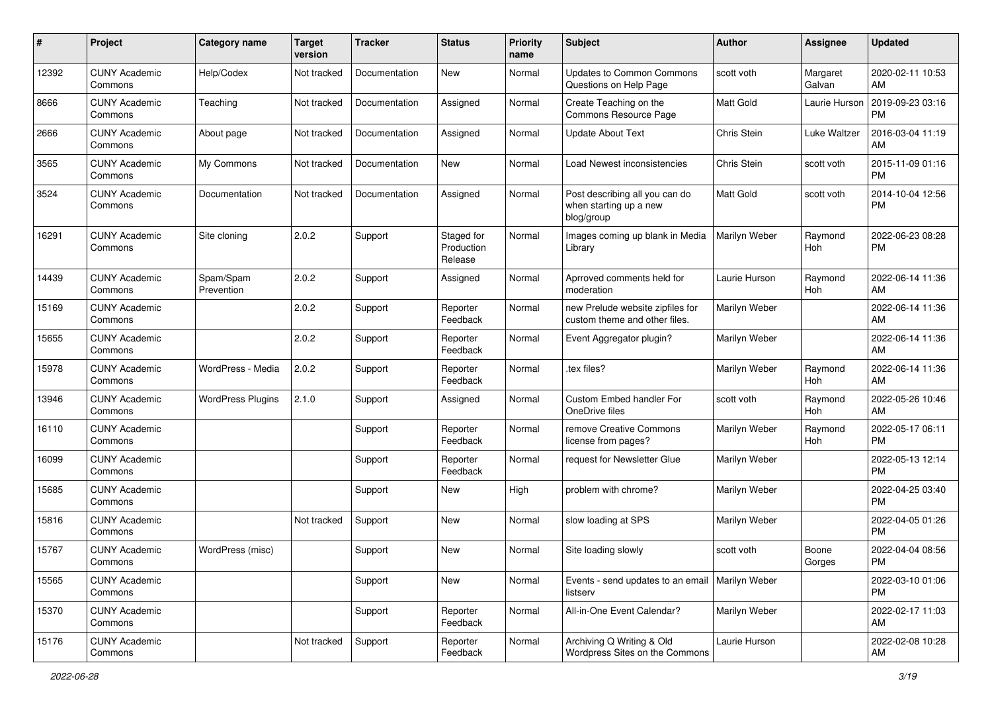| #     | Project                         | <b>Category name</b>     | <b>Target</b><br>version | <b>Tracker</b> | <b>Status</b>                       | <b>Priority</b><br>name | <b>Subject</b>                                                         | <b>Author</b> | <b>Assignee</b>    | <b>Updated</b>                |
|-------|---------------------------------|--------------------------|--------------------------|----------------|-------------------------------------|-------------------------|------------------------------------------------------------------------|---------------|--------------------|-------------------------------|
| 12392 | <b>CUNY Academic</b><br>Commons | Help/Codex               | Not tracked              | Documentation  | New                                 | Normal                  | <b>Updates to Common Commons</b><br>Questions on Help Page             | scott voth    | Margaret<br>Galvan | 2020-02-11 10:53<br>AM        |
| 8666  | <b>CUNY Academic</b><br>Commons | Teaching                 | Not tracked              | Documentation  | Assigned                            | Normal                  | Create Teaching on the<br>Commons Resource Page                        | Matt Gold     | Laurie Hurson      | 2019-09-23 03:16<br><b>PM</b> |
| 2666  | <b>CUNY Academic</b><br>Commons | About page               | Not tracked              | Documentation  | Assigned                            | Normal                  | <b>Update About Text</b>                                               | Chris Stein   | Luke Waltzer       | 2016-03-04 11:19<br>AM        |
| 3565  | <b>CUNY Academic</b><br>Commons | My Commons               | Not tracked              | Documentation  | New                                 | Normal                  | Load Newest inconsistencies                                            | Chris Stein   | scott voth         | 2015-11-09 01:16<br><b>PM</b> |
| 3524  | <b>CUNY Academic</b><br>Commons | Documentation            | Not tracked              | Documentation  | Assigned                            | Normal                  | Post describing all you can do<br>when starting up a new<br>blog/group | Matt Gold     | scott voth         | 2014-10-04 12:56<br><b>PM</b> |
| 16291 | <b>CUNY Academic</b><br>Commons | Site cloning             | 2.0.2                    | Support        | Staged for<br>Production<br>Release | Normal                  | Images coming up blank in Media<br>Library                             | Marilyn Weber | Raymond<br>Hoh     | 2022-06-23 08:28<br><b>PM</b> |
| 14439 | <b>CUNY Academic</b><br>Commons | Spam/Spam<br>Prevention  | 2.0.2                    | Support        | Assigned                            | Normal                  | Aprroved comments held for<br>moderation                               | Laurie Hurson | Raymond<br>Hoh     | 2022-06-14 11:36<br>AM        |
| 15169 | <b>CUNY Academic</b><br>Commons |                          | 2.0.2                    | Support        | Reporter<br>Feedback                | Normal                  | new Prelude website zipfiles for<br>custom theme and other files.      | Marilyn Weber |                    | 2022-06-14 11:36<br>AM        |
| 15655 | <b>CUNY Academic</b><br>Commons |                          | 2.0.2                    | Support        | Reporter<br>Feedback                | Normal                  | Event Aggregator plugin?                                               | Marilyn Weber |                    | 2022-06-14 11:36<br>AM        |
| 15978 | <b>CUNY Academic</b><br>Commons | WordPress - Media        | 2.0.2                    | Support        | Reporter<br>Feedback                | Normal                  | .tex files?                                                            | Marilyn Weber | Raymond<br>Hoh     | 2022-06-14 11:36<br>AM        |
| 13946 | <b>CUNY Academic</b><br>Commons | <b>WordPress Plugins</b> | 2.1.0                    | Support        | Assigned                            | Normal                  | Custom Embed handler For<br>OneDrive files                             | scott voth    | Raymond<br>Hoh     | 2022-05-26 10:46<br>AM        |
| 16110 | <b>CUNY Academic</b><br>Commons |                          |                          | Support        | Reporter<br>Feedback                | Normal                  | remove Creative Commons<br>license from pages?                         | Marilyn Weber | Raymond<br>Hoh     | 2022-05-17 06:11<br><b>PM</b> |
| 16099 | <b>CUNY Academic</b><br>Commons |                          |                          | Support        | Reporter<br>Feedback                | Normal                  | request for Newsletter Glue                                            | Marilyn Weber |                    | 2022-05-13 12:14<br><b>PM</b> |
| 15685 | <b>CUNY Academic</b><br>Commons |                          |                          | Support        | New                                 | High                    | problem with chrome?                                                   | Marilyn Weber |                    | 2022-04-25 03:40<br>PM        |
| 15816 | <b>CUNY Academic</b><br>Commons |                          | Not tracked              | Support        | New                                 | Normal                  | slow loading at SPS                                                    | Marilyn Weber |                    | 2022-04-05 01:26<br><b>PM</b> |
| 15767 | <b>CUNY Academic</b><br>Commons | WordPress (misc)         |                          | Support        | New                                 | Normal                  | Site loading slowly                                                    | scott voth    | Boone<br>Gorges    | 2022-04-04 08:56<br>PM        |
| 15565 | <b>CUNY Academic</b><br>Commons |                          |                          | Support        | New                                 | Normal                  | Events - send updates to an email   Marilyn Weber<br>listserv          |               |                    | 2022-03-10 01:06<br>PM        |
| 15370 | <b>CUNY Academic</b><br>Commons |                          |                          | Support        | Reporter<br>Feedback                | Normal                  | All-in-One Event Calendar?                                             | Marilyn Weber |                    | 2022-02-17 11:03<br>AM        |
| 15176 | <b>CUNY Academic</b><br>Commons |                          | Not tracked              | Support        | Reporter<br>Feedback                | Normal                  | Archiving Q Writing & Old<br>Wordpress Sites on the Commons            | Laurie Hurson |                    | 2022-02-08 10:28<br>AM        |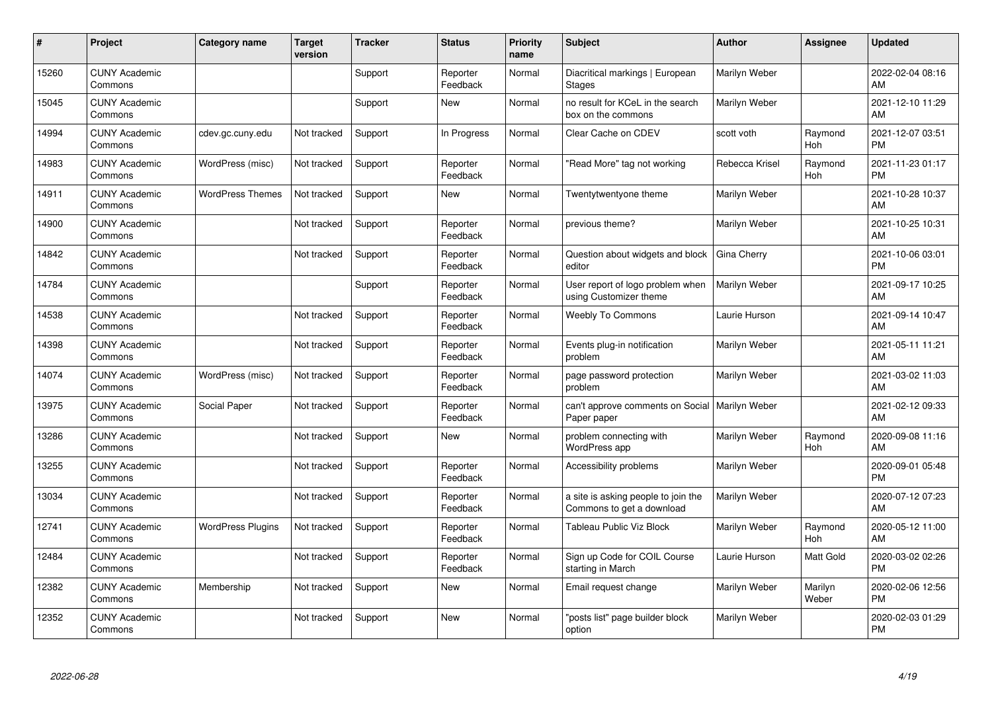| #     | Project                         | <b>Category name</b>     | <b>Target</b><br>version | <b>Tracker</b> | <b>Status</b>        | <b>Priority</b><br>name | <b>Subject</b>                                                   | <b>Author</b>  | <b>Assignee</b>       | <b>Updated</b>                |
|-------|---------------------------------|--------------------------|--------------------------|----------------|----------------------|-------------------------|------------------------------------------------------------------|----------------|-----------------------|-------------------------------|
| 15260 | <b>CUNY Academic</b><br>Commons |                          |                          | Support        | Reporter<br>Feedback | Normal                  | Diacritical markings   European<br><b>Stages</b>                 | Marilyn Weber  |                       | 2022-02-04 08:16<br>AM        |
| 15045 | <b>CUNY Academic</b><br>Commons |                          |                          | Support        | <b>New</b>           | Normal                  | no result for KCeL in the search<br>box on the commons           | Marilyn Weber  |                       | 2021-12-10 11:29<br>AM        |
| 14994 | <b>CUNY Academic</b><br>Commons | cdev.gc.cuny.edu         | Not tracked              | Support        | In Progress          | Normal                  | Clear Cache on CDEV                                              | scott voth     | Raymond<br><b>Hoh</b> | 2021-12-07 03:51<br><b>PM</b> |
| 14983 | <b>CUNY Academic</b><br>Commons | WordPress (misc)         | Not tracked              | Support        | Reporter<br>Feedback | Normal                  | "Read More" tag not working                                      | Rebecca Krisel | Raymond<br><b>Hoh</b> | 2021-11-23 01:17<br><b>PM</b> |
| 14911 | <b>CUNY Academic</b><br>Commons | <b>WordPress Themes</b>  | Not tracked              | Support        | <b>New</b>           | Normal                  | Twentytwentyone theme                                            | Marilyn Weber  |                       | 2021-10-28 10:37<br>AM        |
| 14900 | <b>CUNY Academic</b><br>Commons |                          | Not tracked              | Support        | Reporter<br>Feedback | Normal                  | previous theme?                                                  | Marilyn Weber  |                       | 2021-10-25 10:31<br>AM        |
| 14842 | <b>CUNY Academic</b><br>Commons |                          | Not tracked              | Support        | Reporter<br>Feedback | Normal                  | Question about widgets and block<br>editor                       | Gina Cherry    |                       | 2021-10-06 03:01<br><b>PM</b> |
| 14784 | <b>CUNY Academic</b><br>Commons |                          |                          | Support        | Reporter<br>Feedback | Normal                  | User report of logo problem when<br>using Customizer theme       | Marilyn Weber  |                       | 2021-09-17 10:25<br>AM        |
| 14538 | <b>CUNY Academic</b><br>Commons |                          | Not tracked              | Support        | Reporter<br>Feedback | Normal                  | <b>Weebly To Commons</b>                                         | Laurie Hurson  |                       | 2021-09-14 10:47<br>AM        |
| 14398 | <b>CUNY Academic</b><br>Commons |                          | Not tracked              | Support        | Reporter<br>Feedback | Normal                  | Events plug-in notification<br>problem                           | Marilyn Weber  |                       | 2021-05-11 11:21<br>AM        |
| 14074 | <b>CUNY Academic</b><br>Commons | WordPress (misc)         | Not tracked              | Support        | Reporter<br>Feedback | Normal                  | page password protection<br>problem                              | Marilyn Weber  |                       | 2021-03-02 11:03<br>AM        |
| 13975 | <b>CUNY Academic</b><br>Commons | Social Paper             | Not tracked              | Support        | Reporter<br>Feedback | Normal                  | can't approve comments on Social   Marilyn Weber<br>Paper paper  |                |                       | 2021-02-12 09:33<br>AM        |
| 13286 | <b>CUNY Academic</b><br>Commons |                          | Not tracked              | Support        | <b>New</b>           | Normal                  | problem connecting with<br>WordPress app                         | Marilyn Weber  | Raymond<br><b>Hoh</b> | 2020-09-08 11:16<br>AM        |
| 13255 | <b>CUNY Academic</b><br>Commons |                          | Not tracked              | Support        | Reporter<br>Feedback | Normal                  | Accessibility problems                                           | Marilyn Weber  |                       | 2020-09-01 05:48<br><b>PM</b> |
| 13034 | <b>CUNY Academic</b><br>Commons |                          | Not tracked              | Support        | Reporter<br>Feedback | Normal                  | a site is asking people to join the<br>Commons to get a download | Marilyn Weber  |                       | 2020-07-12 07:23<br>AM        |
| 12741 | <b>CUNY Academic</b><br>Commons | <b>WordPress Plugins</b> | Not tracked              | Support        | Reporter<br>Feedback | Normal                  | Tableau Public Viz Block                                         | Marilyn Weber  | Raymond<br><b>Hoh</b> | 2020-05-12 11:00<br>AM        |
| 12484 | <b>CUNY Academic</b><br>Commons |                          | Not tracked              | Support        | Reporter<br>Feedback | Normal                  | Sign up Code for COIL Course<br>starting in March                | Laurie Hurson  | <b>Matt Gold</b>      | 2020-03-02 02:26<br><b>PM</b> |
| 12382 | <b>CUNY Academic</b><br>Commons | Membership               | Not tracked              | Support        | <b>New</b>           | Normal                  | Email request change                                             | Marilyn Weber  | Marilyn<br>Weber      | 2020-02-06 12:56<br><b>PM</b> |
| 12352 | <b>CUNY Academic</b><br>Commons |                          | Not tracked              | Support        | <b>New</b>           | Normal                  | "posts list" page builder block<br>option                        | Marilyn Weber  |                       | 2020-02-03 01:29<br><b>PM</b> |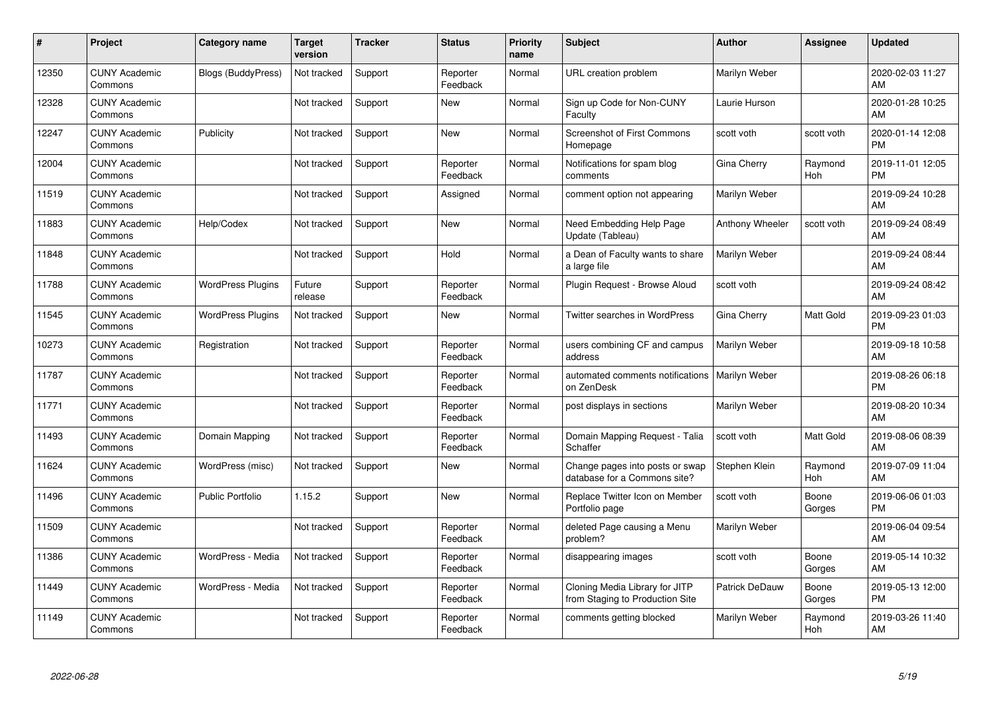| #     | Project                         | <b>Category name</b>      | Target<br>version | <b>Tracker</b> | <b>Status</b>        | <b>Priority</b><br>name | <b>Subject</b>                                                    | <b>Author</b>   | <b>Assignee</b>  | <b>Updated</b>                |
|-------|---------------------------------|---------------------------|-------------------|----------------|----------------------|-------------------------|-------------------------------------------------------------------|-----------------|------------------|-------------------------------|
| 12350 | <b>CUNY Academic</b><br>Commons | <b>Blogs (BuddyPress)</b> | Not tracked       | Support        | Reporter<br>Feedback | Normal                  | <b>URL</b> creation problem                                       | Marilyn Weber   |                  | 2020-02-03 11:27<br>AM        |
| 12328 | <b>CUNY Academic</b><br>Commons |                           | Not tracked       | Support        | <b>New</b>           | Normal                  | Sign up Code for Non-CUNY<br>Faculty                              | Laurie Hurson   |                  | 2020-01-28 10:25<br>AM        |
| 12247 | <b>CUNY Academic</b><br>Commons | Publicity                 | Not tracked       | Support        | New                  | Normal                  | <b>Screenshot of First Commons</b><br>Homepage                    | scott voth      | scott voth       | 2020-01-14 12:08<br><b>PM</b> |
| 12004 | <b>CUNY Academic</b><br>Commons |                           | Not tracked       | Support        | Reporter<br>Feedback | Normal                  | Notifications for spam blog<br>comments                           | Gina Cherry     | Raymond<br>Hoh   | 2019-11-01 12:05<br><b>PM</b> |
| 11519 | <b>CUNY Academic</b><br>Commons |                           | Not tracked       | Support        | Assigned             | Normal                  | comment option not appearing                                      | Marilyn Weber   |                  | 2019-09-24 10:28<br>AM        |
| 11883 | <b>CUNY Academic</b><br>Commons | Help/Codex                | Not tracked       | Support        | <b>New</b>           | Normal                  | Need Embedding Help Page<br>Update (Tableau)                      | Anthony Wheeler | scott voth       | 2019-09-24 08:49<br>AM        |
| 11848 | <b>CUNY Academic</b><br>Commons |                           | Not tracked       | Support        | Hold                 | Normal                  | a Dean of Faculty wants to share<br>a large file                  | Marilyn Weber   |                  | 2019-09-24 08:44<br>AM        |
| 11788 | <b>CUNY Academic</b><br>Commons | <b>WordPress Plugins</b>  | Future<br>release | Support        | Reporter<br>Feedback | Normal                  | Plugin Request - Browse Aloud                                     | scott voth      |                  | 2019-09-24 08:42<br>AM        |
| 11545 | <b>CUNY Academic</b><br>Commons | <b>WordPress Plugins</b>  | Not tracked       | Support        | <b>New</b>           | Normal                  | <b>Twitter searches in WordPress</b>                              | Gina Cherry     | <b>Matt Gold</b> | 2019-09-23 01:03<br><b>PM</b> |
| 10273 | <b>CUNY Academic</b><br>Commons | Registration              | Not tracked       | Support        | Reporter<br>Feedback | Normal                  | users combining CF and campus<br>address                          | Marilyn Weber   |                  | 2019-09-18 10:58<br>AM        |
| 11787 | <b>CUNY Academic</b><br>Commons |                           | Not tracked       | Support        | Reporter<br>Feedback | Normal                  | automated comments notifications<br>on ZenDesk                    | Marilyn Weber   |                  | 2019-08-26 06:18<br><b>PM</b> |
| 11771 | <b>CUNY Academic</b><br>Commons |                           | Not tracked       | Support        | Reporter<br>Feedback | Normal                  | post displays in sections                                         | Marilyn Weber   |                  | 2019-08-20 10:34<br>AM        |
| 11493 | <b>CUNY Academic</b><br>Commons | Domain Mapping            | Not tracked       | Support        | Reporter<br>Feedback | Normal                  | Domain Mapping Request - Talia<br>Schaffer                        | scott voth      | <b>Matt Gold</b> | 2019-08-06 08:39<br>AM        |
| 11624 | <b>CUNY Academic</b><br>Commons | WordPress (misc)          | Not tracked       | Support        | <b>New</b>           | Normal                  | Change pages into posts or swap<br>database for a Commons site?   | Stephen Klein   | Raymond<br>Hoh   | 2019-07-09 11:04<br>AM        |
| 11496 | <b>CUNY Academic</b><br>Commons | <b>Public Portfolio</b>   | 1.15.2            | Support        | New                  | Normal                  | Replace Twitter Icon on Member<br>Portfolio page                  | scott voth      | Boone<br>Gorges  | 2019-06-06 01:03<br><b>PM</b> |
| 11509 | <b>CUNY Academic</b><br>Commons |                           | Not tracked       | Support        | Reporter<br>Feedback | Normal                  | deleted Page causing a Menu<br>problem?                           | Marilyn Weber   |                  | 2019-06-04 09:54<br>AM        |
| 11386 | <b>CUNY Academic</b><br>Commons | WordPress - Media         | Not tracked       | Support        | Reporter<br>Feedback | Normal                  | disappearing images                                               | scott voth      | Boone<br>Gorges  | 2019-05-14 10:32<br>AM        |
| 11449 | <b>CUNY Academic</b><br>Commons | WordPress - Media         | Not tracked       | Support        | Reporter<br>Feedback | Normal                  | Cloning Media Library for JITP<br>from Staging to Production Site | Patrick DeDauw  | Boone<br>Gorges  | 2019-05-13 12:00<br><b>PM</b> |
| 11149 | <b>CUNY Academic</b><br>Commons |                           | Not tracked       | Support        | Reporter<br>Feedback | Normal                  | comments getting blocked                                          | Marilyn Weber   | Raymond<br>Hoh   | 2019-03-26 11:40<br>AM        |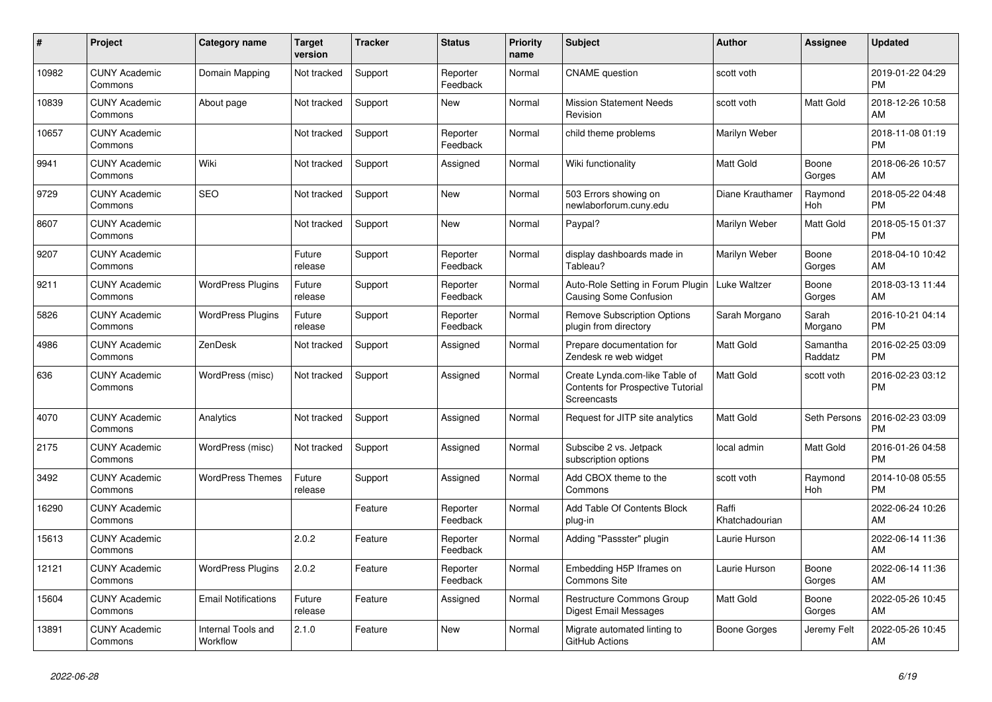| $\#$  | Project                         | Category name                  | <b>Target</b><br>version | <b>Tracker</b> | <b>Status</b>        | <b>Priority</b><br>name | <b>Subject</b>                                                                     | <b>Author</b>           | <b>Assignee</b>     | <b>Updated</b>                |
|-------|---------------------------------|--------------------------------|--------------------------|----------------|----------------------|-------------------------|------------------------------------------------------------------------------------|-------------------------|---------------------|-------------------------------|
| 10982 | <b>CUNY Academic</b><br>Commons | Domain Mapping                 | Not tracked              | Support        | Reporter<br>Feedback | Normal                  | <b>CNAME</b> question                                                              | scott voth              |                     | 2019-01-22 04:29<br><b>PM</b> |
| 10839 | <b>CUNY Academic</b><br>Commons | About page                     | Not tracked              | Support        | New                  | Normal                  | <b>Mission Statement Needs</b><br>Revision                                         | scott voth              | <b>Matt Gold</b>    | 2018-12-26 10:58<br>AM        |
| 10657 | <b>CUNY Academic</b><br>Commons |                                | Not tracked              | Support        | Reporter<br>Feedback | Normal                  | child theme problems                                                               | Marilyn Weber           |                     | 2018-11-08 01:19<br><b>PM</b> |
| 9941  | <b>CUNY Academic</b><br>Commons | Wiki                           | Not tracked              | Support        | Assigned             | Normal                  | Wiki functionality                                                                 | <b>Matt Gold</b>        | Boone<br>Gorges     | 2018-06-26 10:57<br>AM        |
| 9729  | <b>CUNY Academic</b><br>Commons | <b>SEO</b>                     | Not tracked              | Support        | <b>New</b>           | Normal                  | 503 Errors showing on<br>newlaborforum.cuny.edu                                    | Diane Krauthamer        | Raymond<br>Hoh      | 2018-05-22 04:48<br><b>PM</b> |
| 8607  | <b>CUNY Academic</b><br>Commons |                                | Not tracked              | Support        | <b>New</b>           | Normal                  | Paypal?                                                                            | Marilyn Weber           | Matt Gold           | 2018-05-15 01:37<br><b>PM</b> |
| 9207  | <b>CUNY Academic</b><br>Commons |                                | Future<br>release        | Support        | Reporter<br>Feedback | Normal                  | display dashboards made in<br>Tableau?                                             | Marilyn Weber           | Boone<br>Gorges     | 2018-04-10 10:42<br>AM        |
| 9211  | <b>CUNY Academic</b><br>Commons | <b>WordPress Plugins</b>       | Future<br>release        | Support        | Reporter<br>Feedback | Normal                  | Auto-Role Setting in Forum Plugin<br>Causing Some Confusion                        | Luke Waltzer            | Boone<br>Gorges     | 2018-03-13 11:44<br>AM        |
| 5826  | <b>CUNY Academic</b><br>Commons | WordPress Plugins              | Future<br>release        | Support        | Reporter<br>Feedback | Normal                  | <b>Remove Subscription Options</b><br>plugin from directory                        | Sarah Morgano           | Sarah<br>Morgano    | 2016-10-21 04:14<br><b>PM</b> |
| 4986  | <b>CUNY Academic</b><br>Commons | ZenDesk                        | Not tracked              | Support        | Assigned             | Normal                  | Prepare documentation for<br>Zendesk re web widget                                 | <b>Matt Gold</b>        | Samantha<br>Raddatz | 2016-02-25 03:09<br><b>PM</b> |
| 636   | <b>CUNY Academic</b><br>Commons | WordPress (misc)               | Not tracked              | Support        | Assigned             | Normal                  | Create Lynda.com-like Table of<br>Contents for Prospective Tutorial<br>Screencasts | Matt Gold               | scott voth          | 2016-02-23 03:12<br><b>PM</b> |
| 4070  | <b>CUNY Academic</b><br>Commons | Analytics                      | Not tracked              | Support        | Assigned             | Normal                  | Request for JITP site analytics                                                    | <b>Matt Gold</b>        | Seth Persons        | 2016-02-23 03:09<br><b>PM</b> |
| 2175  | <b>CUNY Academic</b><br>Commons | WordPress (misc)               | Not tracked              | Support        | Assigned             | Normal                  | Subscibe 2 vs. Jetpack<br>subscription options                                     | local admin             | Matt Gold           | 2016-01-26 04:58<br><b>PM</b> |
| 3492  | <b>CUNY Academic</b><br>Commons | <b>WordPress Themes</b>        | Future<br>release        | Support        | Assigned             | Normal                  | Add CBOX theme to the<br>Commons                                                   | scott voth              | Raymond<br>Hoh      | 2014-10-08 05:55<br><b>PM</b> |
| 16290 | <b>CUNY Academic</b><br>Commons |                                |                          | Feature        | Reporter<br>Feedback | Normal                  | Add Table Of Contents Block<br>plug-in                                             | Raffi<br>Khatchadourian |                     | 2022-06-24 10:26<br>AM        |
| 15613 | <b>CUNY Academic</b><br>Commons |                                | 2.0.2                    | Feature        | Reporter<br>Feedback | Normal                  | Adding "Passster" plugin                                                           | Laurie Hurson           |                     | 2022-06-14 11:36<br>AM        |
| 12121 | <b>CUNY Academic</b><br>Commons | <b>WordPress Plugins</b>       | 2.0.2                    | Feature        | Reporter<br>Feedback | Normal                  | Embedding H5P Iframes on<br>Commons Site                                           | Laurie Hurson           | Boone<br>Gorges     | 2022-06-14 11:36<br>AM        |
| 15604 | <b>CUNY Academic</b><br>Commons | <b>Email Notifications</b>     | Future<br>release        | Feature        | Assigned             | Normal                  | Restructure Commons Group<br>Digest Email Messages                                 | <b>Matt Gold</b>        | Boone<br>Gorges     | 2022-05-26 10:45<br>AM        |
| 13891 | <b>CUNY Academic</b><br>Commons | Internal Tools and<br>Workflow | 2.1.0                    | Feature        | <b>New</b>           | Normal                  | Migrate automated linting to<br>GitHub Actions                                     | Boone Gorges            | Jeremy Felt         | 2022-05-26 10:45<br>AM        |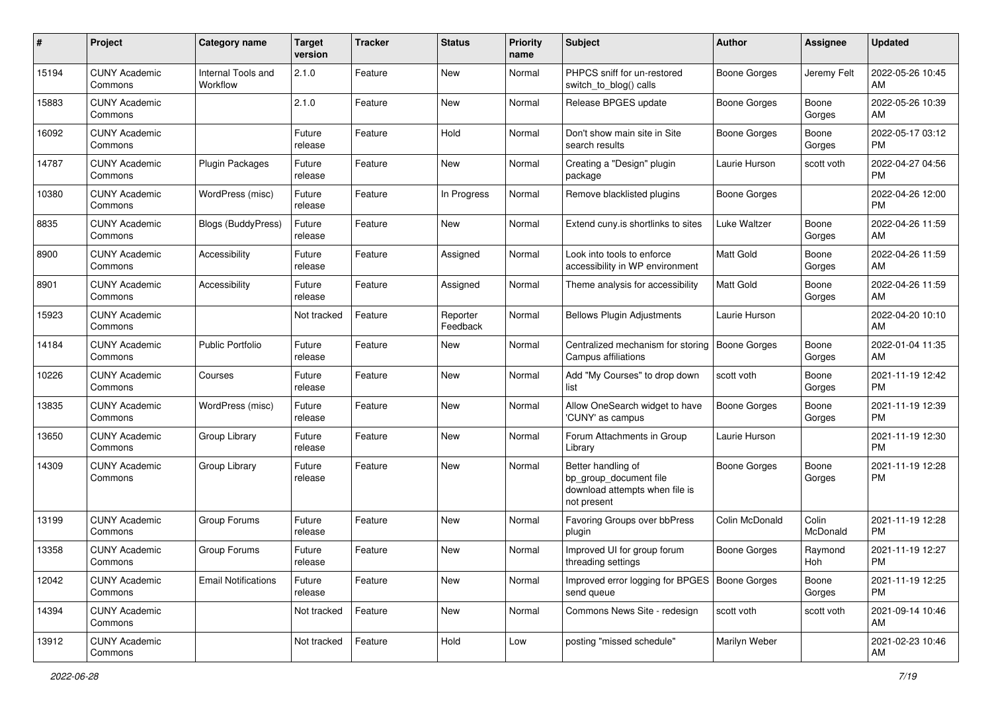| #     | Project                         | <b>Category name</b>           | <b>Target</b><br>version | <b>Tracker</b> | <b>Status</b>        | <b>Priority</b><br>name | Subject                                                                                       | Author              | <b>Assignee</b>   | <b>Updated</b>                |
|-------|---------------------------------|--------------------------------|--------------------------|----------------|----------------------|-------------------------|-----------------------------------------------------------------------------------------------|---------------------|-------------------|-------------------------------|
| 15194 | <b>CUNY Academic</b><br>Commons | Internal Tools and<br>Workflow | 2.1.0                    | Feature        | New                  | Normal                  | PHPCS sniff for un-restored<br>switch_to_blog() calls                                         | <b>Boone Gorges</b> | Jeremy Felt       | 2022-05-26 10:45<br>AM        |
| 15883 | <b>CUNY Academic</b><br>Commons |                                | 2.1.0                    | Feature        | New                  | Normal                  | Release BPGES update                                                                          | <b>Boone Gorges</b> | Boone<br>Gorges   | 2022-05-26 10:39<br>AM        |
| 16092 | <b>CUNY Academic</b><br>Commons |                                | Future<br>release        | Feature        | Hold                 | Normal                  | Don't show main site in Site<br>search results                                                | <b>Boone Gorges</b> | Boone<br>Gorges   | 2022-05-17 03:12<br><b>PM</b> |
| 14787 | <b>CUNY Academic</b><br>Commons | <b>Plugin Packages</b>         | Future<br>release        | Feature        | <b>New</b>           | Normal                  | Creating a "Design" plugin<br>package                                                         | Laurie Hurson       | scott voth        | 2022-04-27 04:56<br><b>PM</b> |
| 10380 | <b>CUNY Academic</b><br>Commons | WordPress (misc)               | Future<br>release        | Feature        | In Progress          | Normal                  | Remove blacklisted plugins                                                                    | <b>Boone Gorges</b> |                   | 2022-04-26 12:00<br><b>PM</b> |
| 8835  | <b>CUNY Academic</b><br>Commons | <b>Blogs (BuddyPress)</b>      | Future<br>release        | Feature        | New                  | Normal                  | Extend cuny.is shortlinks to sites                                                            | Luke Waltzer        | Boone<br>Gorges   | 2022-04-26 11:59<br>AM        |
| 8900  | <b>CUNY Academic</b><br>Commons | Accessibility                  | Future<br>release        | Feature        | Assigned             | Normal                  | Look into tools to enforce<br>accessibility in WP environment                                 | Matt Gold           | Boone<br>Gorges   | 2022-04-26 11:59<br>AM        |
| 8901  | <b>CUNY Academic</b><br>Commons | Accessibility                  | Future<br>release        | Feature        | Assigned             | Normal                  | Theme analysis for accessibility                                                              | <b>Matt Gold</b>    | Boone<br>Gorges   | 2022-04-26 11:59<br>AM        |
| 15923 | <b>CUNY Academic</b><br>Commons |                                | Not tracked              | Feature        | Reporter<br>Feedback | Normal                  | <b>Bellows Plugin Adjustments</b>                                                             | Laurie Hurson       |                   | 2022-04-20 10:10<br>AM        |
| 14184 | <b>CUNY Academic</b><br>Commons | <b>Public Portfolio</b>        | Future<br>release        | Feature        | New                  | Normal                  | Centralized mechanism for storing<br>Campus affiliations                                      | Boone Gorges        | Boone<br>Gorges   | 2022-01-04 11:35<br>AM        |
| 10226 | <b>CUNY Academic</b><br>Commons | Courses                        | Future<br>release        | Feature        | New                  | Normal                  | Add "My Courses" to drop down<br>list                                                         | scott voth          | Boone<br>Gorges   | 2021-11-19 12:42<br><b>PM</b> |
| 13835 | <b>CUNY Academic</b><br>Commons | WordPress (misc)               | Future<br>release        | Feature        | <b>New</b>           | Normal                  | Allow OneSearch widget to have<br>'CUNY' as campus                                            | <b>Boone Gorges</b> | Boone<br>Gorges   | 2021-11-19 12:39<br><b>PM</b> |
| 13650 | <b>CUNY Academic</b><br>Commons | Group Library                  | Future<br>release        | Feature        | New                  | Normal                  | Forum Attachments in Group<br>Library                                                         | Laurie Hurson       |                   | 2021-11-19 12:30<br><b>PM</b> |
| 14309 | <b>CUNY Academic</b><br>Commons | Group Library                  | Future<br>release        | Feature        | New                  | Normal                  | Better handling of<br>bp group document file<br>download attempts when file is<br>not present | <b>Boone Gorges</b> | Boone<br>Gorges   | 2021-11-19 12:28<br>PM        |
| 13199 | <b>CUNY Academic</b><br>Commons | Group Forums                   | Future<br>release        | Feature        | New                  | Normal                  | Favoring Groups over bbPress<br>plugin                                                        | Colin McDonald      | Colin<br>McDonald | 2021-11-19 12:28<br>PM        |
| 13358 | <b>CUNY Academic</b><br>Commons | Group Forums                   | Future<br>release        | Feature        | New                  | Normal                  | Improved UI for group forum<br>threading settings                                             | Boone Gorges        | Raymond<br>Hoh    | 2021-11-19 12:27<br><b>PM</b> |
| 12042 | <b>CUNY Academic</b><br>Commons | <b>Email Notifications</b>     | Future<br>release        | Feature        | New                  | Normal                  | Improved error logging for BPGES   Boone Gorges<br>send queue                                 |                     | Boone<br>Gorges   | 2021-11-19 12:25<br><b>PM</b> |
| 14394 | <b>CUNY Academic</b><br>Commons |                                | Not tracked              | Feature        | New                  | Normal                  | Commons News Site - redesign                                                                  | scott voth          | scott voth        | 2021-09-14 10:46<br>AM        |
| 13912 | <b>CUNY Academic</b><br>Commons |                                | Not tracked              | Feature        | Hold                 | Low                     | posting "missed schedule"                                                                     | Marilyn Weber       |                   | 2021-02-23 10:46<br>AM        |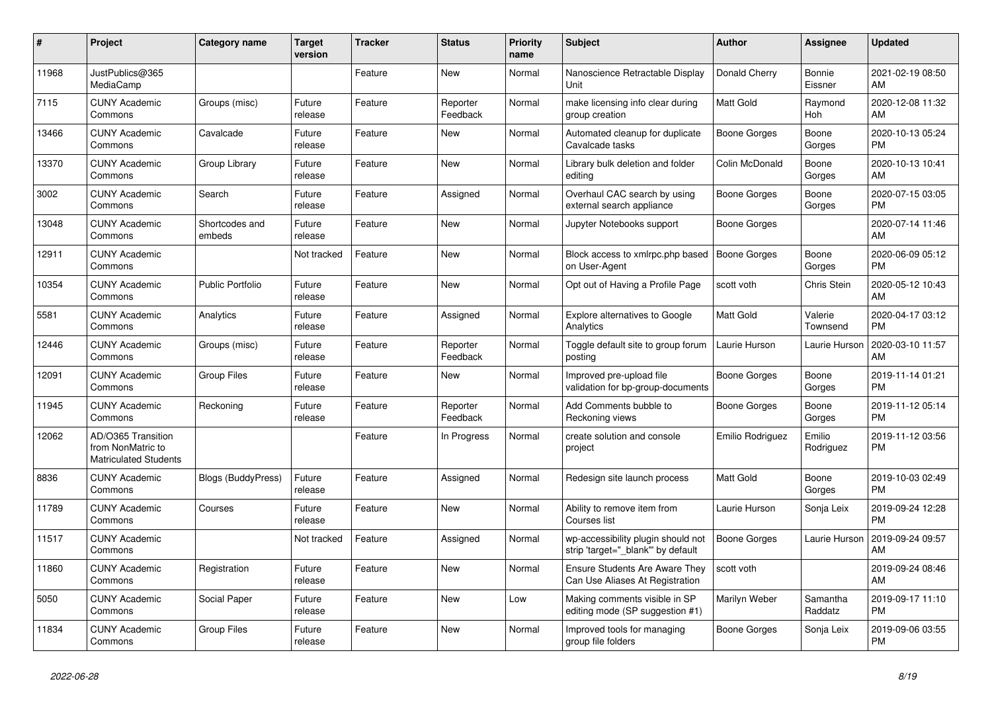| #     | Project                                                                 | <b>Category name</b>     | <b>Target</b><br>version | <b>Tracker</b> | <b>Status</b>        | <b>Priority</b><br>name | <b>Subject</b>                                                           | <b>Author</b>       | <b>Assignee</b>     | <b>Updated</b>                |
|-------|-------------------------------------------------------------------------|--------------------------|--------------------------|----------------|----------------------|-------------------------|--------------------------------------------------------------------------|---------------------|---------------------|-------------------------------|
| 11968 | JustPublics@365<br>MediaCamp                                            |                          |                          | Feature        | <b>New</b>           | Normal                  | Nanoscience Retractable Display<br>Unit                                  | Donald Cherry       | Bonnie<br>Eissner   | 2021-02-19 08:50<br>AM        |
| 7115  | <b>CUNY Academic</b><br>Commons                                         | Groups (misc)            | Future<br>release        | Feature        | Reporter<br>Feedback | Normal                  | make licensing info clear during<br>group creation                       | <b>Matt Gold</b>    | Raymond<br>Hoh      | 2020-12-08 11:32<br>AM        |
| 13466 | <b>CUNY Academic</b><br>Commons                                         | Cavalcade                | Future<br>release        | Feature        | <b>New</b>           | Normal                  | Automated cleanup for duplicate<br>Cavalcade tasks                       | Boone Gorges        | Boone<br>Gorges     | 2020-10-13 05:24<br><b>PM</b> |
| 13370 | <b>CUNY Academic</b><br>Commons                                         | Group Library            | Future<br>release        | Feature        | <b>New</b>           | Normal                  | Library bulk deletion and folder<br>editing                              | Colin McDonald      | Boone<br>Gorges     | 2020-10-13 10:41<br>AM        |
| 3002  | <b>CUNY Academic</b><br>Commons                                         | Search                   | Future<br>release        | Feature        | Assigned             | Normal                  | Overhaul CAC search by using<br>external search appliance                | Boone Gorges        | Boone<br>Gorges     | 2020-07-15 03:05<br>PM        |
| 13048 | <b>CUNY Academic</b><br>Commons                                         | Shortcodes and<br>embeds | Future<br>release        | Feature        | <b>New</b>           | Normal                  | Jupyter Notebooks support                                                | Boone Gorges        |                     | 2020-07-14 11:46<br>AM        |
| 12911 | <b>CUNY Academic</b><br>Commons                                         |                          | Not tracked              | Feature        | <b>New</b>           | Normal                  | Block access to xmlrpc.php based<br>on User-Agent                        | <b>Boone Gorges</b> | Boone<br>Gorges     | 2020-06-09 05:12<br><b>PM</b> |
| 10354 | <b>CUNY Academic</b><br>Commons                                         | <b>Public Portfolio</b>  | Future<br>release        | Feature        | <b>New</b>           | Normal                  | Opt out of Having a Profile Page                                         | scott voth          | Chris Stein         | 2020-05-12 10:43<br>AM        |
| 5581  | <b>CUNY Academic</b><br>Commons                                         | Analytics                | Future<br>release        | Feature        | Assigned             | Normal                  | Explore alternatives to Google<br>Analytics                              | Matt Gold           | Valerie<br>Townsend | 2020-04-17 03:12<br><b>PM</b> |
| 12446 | <b>CUNY Academic</b><br>Commons                                         | Groups (misc)            | Future<br>release        | Feature        | Reporter<br>Feedback | Normal                  | Toggle default site to group forum<br>posting                            | Laurie Hurson       | Laurie Hurson       | 2020-03-10 11:57<br>AM        |
| 12091 | <b>CUNY Academic</b><br>Commons                                         | <b>Group Files</b>       | Future<br>release        | Feature        | <b>New</b>           | Normal                  | Improved pre-upload file<br>validation for bp-group-documents            | <b>Boone Gorges</b> | Boone<br>Gorges     | 2019-11-14 01:21<br><b>PM</b> |
| 11945 | <b>CUNY Academic</b><br>Commons                                         | Reckoning                | Future<br>release        | Feature        | Reporter<br>Feedback | Normal                  | Add Comments bubble to<br>Reckoning views                                | Boone Gorges        | Boone<br>Gorges     | 2019-11-12 05:14<br><b>PM</b> |
| 12062 | AD/O365 Transition<br>from NonMatric to<br><b>Matriculated Students</b> |                          |                          | Feature        | In Progress          | Normal                  | create solution and console<br>project                                   | Emilio Rodriguez    | Emilio<br>Rodriguez | 2019-11-12 03:56<br><b>PM</b> |
| 8836  | <b>CUNY Academic</b><br>Commons                                         | Blogs (BuddyPress)       | Future<br>release        | Feature        | Assigned             | Normal                  | Redesign site launch process                                             | Matt Gold           | Boone<br>Gorges     | 2019-10-03 02:49<br><b>PM</b> |
| 11789 | <b>CUNY Academic</b><br>Commons                                         | Courses                  | Future<br>release        | Feature        | New                  | Normal                  | Ability to remove item from<br>Courses list                              | Laurie Hurson       | Sonja Leix          | 2019-09-24 12:28<br><b>PM</b> |
| 11517 | <b>CUNY Academic</b><br>Commons                                         |                          | Not tracked              | Feature        | Assigned             | Normal                  | wp-accessibility plugin should not<br>strip 'target="_blank" by default  | Boone Gorges        | Laurie Hurson       | 2019-09-24 09:57<br>AM        |
| 11860 | <b>CUNY Academic</b><br>Commons                                         | Registration             | Future<br>release        | Feature        | <b>New</b>           | Normal                  | <b>Ensure Students Are Aware They</b><br>Can Use Aliases At Registration | scott voth          |                     | 2019-09-24 08:46<br>AM        |
| 5050  | <b>CUNY Academic</b><br>Commons                                         | Social Paper             | Future<br>release        | Feature        | <b>New</b>           | Low                     | Making comments visible in SP<br>editing mode (SP suggestion #1)         | Marilyn Weber       | Samantha<br>Raddatz | 2019-09-17 11:10<br><b>PM</b> |
| 11834 | <b>CUNY Academic</b><br>Commons                                         | <b>Group Files</b>       | Future<br>release        | Feature        | <b>New</b>           | Normal                  | Improved tools for managing<br>group file folders                        | Boone Gorges        | Sonja Leix          | 2019-09-06 03:55<br><b>PM</b> |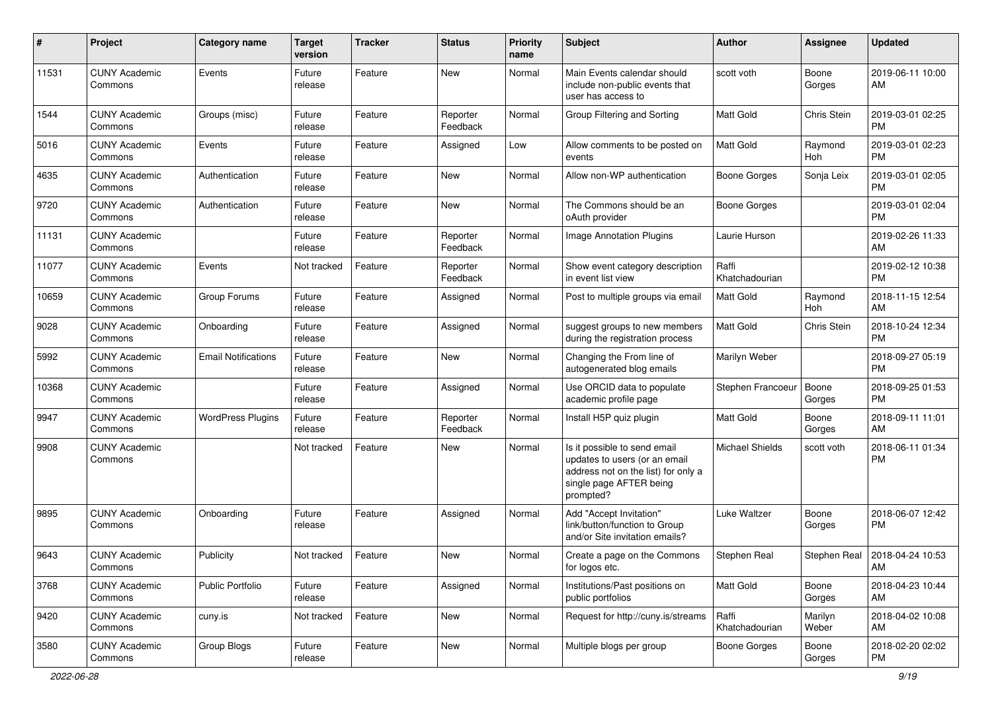| #     | Project                         | <b>Category name</b>       | Target<br>version | <b>Tracker</b> | <b>Status</b>        | <b>Priority</b><br>name | Subject                                                                                                                                      | Author                  | <b>Assignee</b>  | <b>Updated</b>                        |
|-------|---------------------------------|----------------------------|-------------------|----------------|----------------------|-------------------------|----------------------------------------------------------------------------------------------------------------------------------------------|-------------------------|------------------|---------------------------------------|
| 11531 | <b>CUNY Academic</b><br>Commons | Events                     | Future<br>release | Feature        | New                  | Normal                  | Main Events calendar should<br>include non-public events that<br>user has access to                                                          | scott voth              | Boone<br>Gorges  | 2019-06-11 10:00<br>AM                |
| 1544  | <b>CUNY Academic</b><br>Commons | Groups (misc)              | Future<br>release | Feature        | Reporter<br>Feedback | Normal                  | Group Filtering and Sorting                                                                                                                  | <b>Matt Gold</b>        | Chris Stein      | 2019-03-01 02:25<br><b>PM</b>         |
| 5016  | <b>CUNY Academic</b><br>Commons | Events                     | Future<br>release | Feature        | Assigned             | Low                     | Allow comments to be posted on<br>events                                                                                                     | Matt Gold               | Raymond<br>Hoh   | 2019-03-01 02:23<br><b>PM</b>         |
| 4635  | <b>CUNY Academic</b><br>Commons | Authentication             | Future<br>release | Feature        | New                  | Normal                  | Allow non-WP authentication                                                                                                                  | <b>Boone Gorges</b>     | Sonja Leix       | 2019-03-01 02:05<br><b>PM</b>         |
| 9720  | <b>CUNY Academic</b><br>Commons | Authentication             | Future<br>release | Feature        | New                  | Normal                  | The Commons should be an<br>oAuth provider                                                                                                   | <b>Boone Gorges</b>     |                  | 2019-03-01 02:04<br><b>PM</b>         |
| 11131 | <b>CUNY Academic</b><br>Commons |                            | Future<br>release | Feature        | Reporter<br>Feedback | Normal                  | <b>Image Annotation Plugins</b>                                                                                                              | Laurie Hurson           |                  | 2019-02-26 11:33<br>AM                |
| 11077 | <b>CUNY Academic</b><br>Commons | Events                     | Not tracked       | Feature        | Reporter<br>Feedback | Normal                  | Show event category description<br>in event list view                                                                                        | Raffi<br>Khatchadourian |                  | 2019-02-12 10:38<br><b>PM</b>         |
| 10659 | <b>CUNY Academic</b><br>Commons | Group Forums               | Future<br>release | Feature        | Assigned             | Normal                  | Post to multiple groups via email                                                                                                            | Matt Gold               | Raymond<br>Hoh   | 2018-11-15 12:54<br>AM                |
| 9028  | <b>CUNY Academic</b><br>Commons | Onboarding                 | Future<br>release | Feature        | Assigned             | Normal                  | suggest groups to new members<br>during the registration process                                                                             | Matt Gold               | Chris Stein      | 2018-10-24 12:34<br><b>PM</b>         |
| 5992  | <b>CUNY Academic</b><br>Commons | <b>Email Notifications</b> | Future<br>release | Feature        | New                  | Normal                  | Changing the From line of<br>autogenerated blog emails                                                                                       | Marilyn Weber           |                  | 2018-09-27 05:19<br><b>PM</b>         |
| 10368 | <b>CUNY Academic</b><br>Commons |                            | Future<br>release | Feature        | Assigned             | Normal                  | Use ORCID data to populate<br>academic profile page                                                                                          | Stephen Francoeur       | Boone<br>Gorges  | 2018-09-25 01:53<br><b>PM</b>         |
| 9947  | <b>CUNY Academic</b><br>Commons | <b>WordPress Plugins</b>   | Future<br>release | Feature        | Reporter<br>Feedback | Normal                  | Install H5P quiz plugin                                                                                                                      | <b>Matt Gold</b>        | Boone<br>Gorges  | 2018-09-11 11:01<br>AM                |
| 9908  | <b>CUNY Academic</b><br>Commons |                            | Not tracked       | Feature        | New                  | Normal                  | Is it possible to send email<br>updates to users (or an email<br>address not on the list) for only a<br>single page AFTER being<br>prompted? | <b>Michael Shields</b>  | scott voth       | 2018-06-11 01:34<br><b>PM</b>         |
| 9895  | <b>CUNY Academic</b><br>Commons | Onboarding                 | Future<br>release | Feature        | Assigned             | Normal                  | Add "Accept Invitation"<br>link/button/function to Group<br>and/or Site invitation emails?                                                   | Luke Waltzer            | Boone<br>Gorges  | 2018-06-07 12:42<br><b>PM</b>         |
| 9643  | <b>CUNY Academic</b><br>Commons | Publicity                  | Not tracked       | Feature        | New                  | Normal                  | Create a page on the Commons<br>for logos etc.                                                                                               | Stephen Real            |                  | Stephen Real   2018-04-24 10:53<br>AM |
| 3768  | <b>CUNY Academic</b><br>Commons | Public Portfolio           | Future<br>release | Feature        | Assigned             | Normal                  | Institutions/Past positions on<br>public portfolios                                                                                          | Matt Gold               | Boone<br>Gorges  | 2018-04-23 10:44<br>AM                |
| 9420  | <b>CUNY Academic</b><br>Commons | cuny.is                    | Not tracked       | Feature        | New                  | Normal                  | Request for http://cuny.is/streams                                                                                                           | Raffi<br>Khatchadourian | Marilyn<br>Weber | 2018-04-02 10:08<br>AM                |
| 3580  | <b>CUNY Academic</b><br>Commons | Group Blogs                | Future<br>release | Feature        | New                  | Normal                  | Multiple blogs per group                                                                                                                     | Boone Gorges            | Boone<br>Gorges  | 2018-02-20 02:02<br>PM                |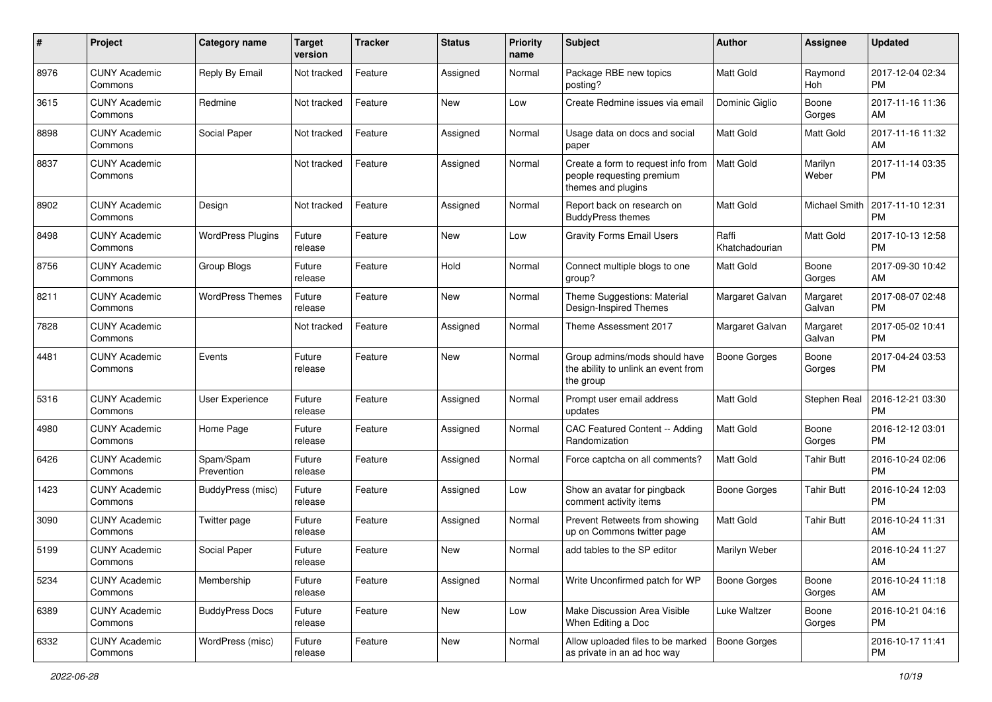| #    | Project                         | <b>Category name</b>     | <b>Target</b><br>version | <b>Tracker</b> | <b>Status</b> | <b>Priority</b><br>name | Subject                                                                               | Author                  | <b>Assignee</b>      | <b>Updated</b>                |
|------|---------------------------------|--------------------------|--------------------------|----------------|---------------|-------------------------|---------------------------------------------------------------------------------------|-------------------------|----------------------|-------------------------------|
| 8976 | <b>CUNY Academic</b><br>Commons | Reply By Email           | Not tracked              | Feature        | Assigned      | Normal                  | Package RBE new topics<br>posting?                                                    | <b>Matt Gold</b>        | Raymond<br>Hoh       | 2017-12-04 02:34<br><b>PM</b> |
| 3615 | <b>CUNY Academic</b><br>Commons | Redmine                  | Not tracked              | Feature        | New           | Low                     | Create Redmine issues via email                                                       | Dominic Giglio          | Boone<br>Gorges      | 2017-11-16 11:36<br>AM        |
| 8898 | <b>CUNY Academic</b><br>Commons | Social Paper             | Not tracked              | Feature        | Assigned      | Normal                  | Usage data on docs and social<br>paper                                                | <b>Matt Gold</b>        | <b>Matt Gold</b>     | 2017-11-16 11:32<br>AM        |
| 8837 | <b>CUNY Academic</b><br>Commons |                          | Not tracked              | Feature        | Assigned      | Normal                  | Create a form to request info from<br>people requesting premium<br>themes and plugins | <b>Matt Gold</b>        | Marilyn<br>Weber     | 2017-11-14 03:35<br><b>PM</b> |
| 8902 | <b>CUNY Academic</b><br>Commons | Design                   | Not tracked              | Feature        | Assigned      | Normal                  | Report back on research on<br><b>BuddyPress themes</b>                                | <b>Matt Gold</b>        | <b>Michael Smith</b> | 2017-11-10 12:31<br><b>PM</b> |
| 8498 | <b>CUNY Academic</b><br>Commons | <b>WordPress Plugins</b> | Future<br>release        | Feature        | <b>New</b>    | Low                     | <b>Gravity Forms Email Users</b>                                                      | Raffi<br>Khatchadourian | <b>Matt Gold</b>     | 2017-10-13 12:58<br><b>PM</b> |
| 8756 | <b>CUNY Academic</b><br>Commons | Group Blogs              | Future<br>release        | Feature        | Hold          | Normal                  | Connect multiple blogs to one<br>group?                                               | Matt Gold               | Boone<br>Gorges      | 2017-09-30 10:42<br>AM        |
| 8211 | <b>CUNY Academic</b><br>Commons | <b>WordPress Themes</b>  | Future<br>release        | Feature        | New           | Normal                  | Theme Suggestions: Material<br>Design-Inspired Themes                                 | Margaret Galvan         | Margaret<br>Galvan   | 2017-08-07 02:48<br><b>PM</b> |
| 7828 | <b>CUNY Academic</b><br>Commons |                          | Not tracked              | Feature        | Assigned      | Normal                  | Theme Assessment 2017                                                                 | Margaret Galvan         | Margaret<br>Galvan   | 2017-05-02 10:41<br><b>PM</b> |
| 4481 | <b>CUNY Academic</b><br>Commons | Events                   | Future<br>release        | Feature        | New           | Normal                  | Group admins/mods should have<br>the ability to unlink an event from<br>the group     | <b>Boone Gorges</b>     | Boone<br>Gorges      | 2017-04-24 03:53<br><b>PM</b> |
| 5316 | <b>CUNY Academic</b><br>Commons | User Experience          | Future<br>release        | Feature        | Assigned      | Normal                  | Prompt user email address<br>updates                                                  | Matt Gold               | Stephen Real         | 2016-12-21 03:30<br><b>PM</b> |
| 4980 | <b>CUNY Academic</b><br>Commons | Home Page                | Future<br>release        | Feature        | Assigned      | Normal                  | CAC Featured Content -- Adding<br>Randomization                                       | <b>Matt Gold</b>        | Boone<br>Gorges      | 2016-12-12 03:01<br><b>PM</b> |
| 6426 | <b>CUNY Academic</b><br>Commons | Spam/Spam<br>Prevention  | Future<br>release        | Feature        | Assigned      | Normal                  | Force captcha on all comments?                                                        | Matt Gold               | <b>Tahir Butt</b>    | 2016-10-24 02:06<br><b>PM</b> |
| 1423 | <b>CUNY Academic</b><br>Commons | BuddyPress (misc)        | Future<br>release        | Feature        | Assigned      | Low                     | Show an avatar for pingback<br>comment activity items                                 | <b>Boone Gorges</b>     | <b>Tahir Butt</b>    | 2016-10-24 12:03<br><b>PM</b> |
| 3090 | <b>CUNY Academic</b><br>Commons | Twitter page             | Future<br>release        | Feature        | Assigned      | Normal                  | Prevent Retweets from showing<br>up on Commons twitter page                           | <b>Matt Gold</b>        | <b>Tahir Butt</b>    | 2016-10-24 11:31<br>AM        |
| 5199 | <b>CUNY Academic</b><br>Commons | Social Paper             | Future<br>release        | Feature        | New           | Normal                  | add tables to the SP editor                                                           | Marilyn Weber           |                      | 2016-10-24 11:27<br>AM        |
| 5234 | <b>CUNY Academic</b><br>Commons | Membership               | Future<br>release        | Feature        | Assigned      | Normal                  | Write Unconfirmed patch for WP                                                        | <b>Boone Gorges</b>     | Boone<br>Gorges      | 2016-10-24 11:18<br>AM        |
| 6389 | <b>CUNY Academic</b><br>Commons | <b>BuddyPress Docs</b>   | Future<br>release        | Feature        | New           | Low                     | Make Discussion Area Visible<br>When Editing a Doc                                    | Luke Waltzer            | Boone<br>Gorges      | 2016-10-21 04:16<br><b>PM</b> |
| 6332 | <b>CUNY Academic</b><br>Commons | WordPress (misc)         | Future<br>release        | Feature        | New           | Normal                  | Allow uploaded files to be marked<br>as private in an ad hoc way                      | <b>Boone Gorges</b>     |                      | 2016-10-17 11:41<br>PM        |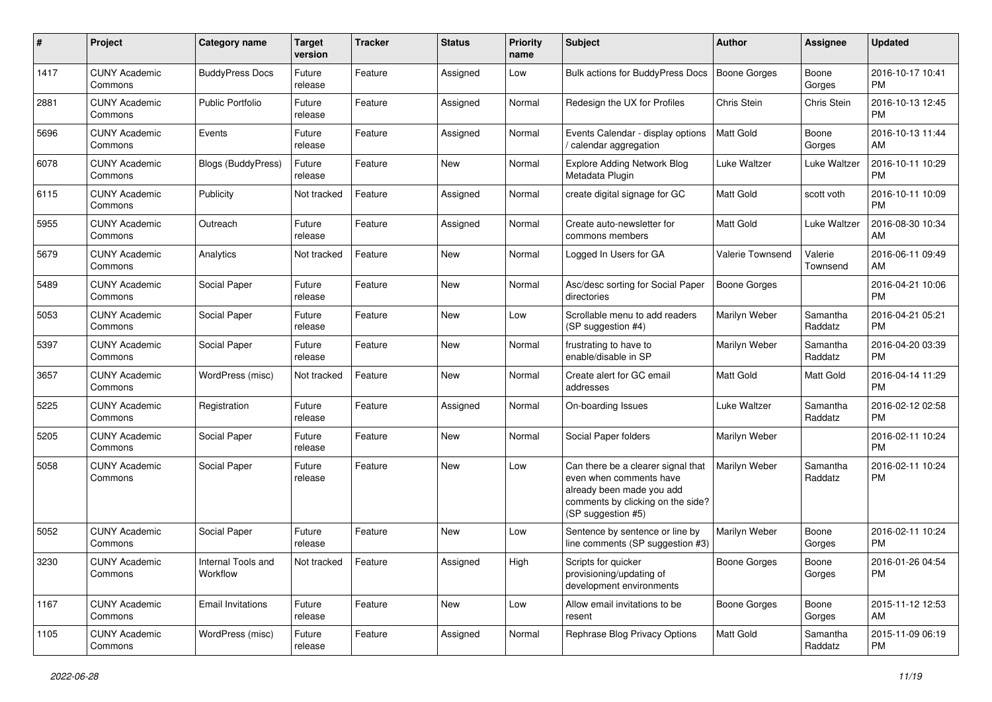| #    | Project                         | Category name                  | <b>Target</b><br>version | <b>Tracker</b> | <b>Status</b> | <b>Priority</b><br>name | Subject                                                                                                                                               | Author              | <b>Assignee</b>     | <b>Updated</b>                |
|------|---------------------------------|--------------------------------|--------------------------|----------------|---------------|-------------------------|-------------------------------------------------------------------------------------------------------------------------------------------------------|---------------------|---------------------|-------------------------------|
| 1417 | <b>CUNY Academic</b><br>Commons | <b>BuddyPress Docs</b>         | Future<br>release        | Feature        | Assigned      | Low                     | Bulk actions for BuddyPress Docs                                                                                                                      | Boone Gorges        | Boone<br>Gorges     | 2016-10-17 10:41<br>PM        |
| 2881 | <b>CUNY Academic</b><br>Commons | <b>Public Portfolio</b>        | Future<br>release        | Feature        | Assigned      | Normal                  | Redesign the UX for Profiles                                                                                                                          | Chris Stein         | Chris Stein         | 2016-10-13 12:45<br>PM        |
| 5696 | <b>CUNY Academic</b><br>Commons | Events                         | Future<br>release        | Feature        | Assigned      | Normal                  | Events Calendar - display options<br>calendar aggregation                                                                                             | Matt Gold           | Boone<br>Gorges     | 2016-10-13 11:44<br>AM        |
| 6078 | <b>CUNY Academic</b><br>Commons | <b>Blogs (BuddyPress)</b>      | Future<br>release        | Feature        | <b>New</b>    | Normal                  | <b>Explore Adding Network Blog</b><br>Metadata Plugin                                                                                                 | Luke Waltzer        | <b>Luke Waltzer</b> | 2016-10-11 10:29<br><b>PM</b> |
| 6115 | <b>CUNY Academic</b><br>Commons | Publicity                      | Not tracked              | Feature        | Assigned      | Normal                  | create digital signage for GC                                                                                                                         | Matt Gold           | scott voth          | 2016-10-11 10:09<br><b>PM</b> |
| 5955 | <b>CUNY Academic</b><br>Commons | Outreach                       | Future<br>release        | Feature        | Assigned      | Normal                  | Create auto-newsletter for<br>commons members                                                                                                         | Matt Gold           | Luke Waltzer        | 2016-08-30 10:34<br>AM        |
| 5679 | <b>CUNY Academic</b><br>Commons | Analytics                      | Not tracked              | Feature        | New           | Normal                  | Logged In Users for GA                                                                                                                                | Valerie Townsend    | Valerie<br>Townsend | 2016-06-11 09:49<br>AM        |
| 5489 | <b>CUNY Academic</b><br>Commons | Social Paper                   | Future<br>release        | Feature        | <b>New</b>    | Normal                  | Asc/desc sorting for Social Paper<br>directories                                                                                                      | <b>Boone Gorges</b> |                     | 2016-04-21 10:06<br><b>PM</b> |
| 5053 | <b>CUNY Academic</b><br>Commons | Social Paper                   | Future<br>release        | Feature        | New           | Low                     | Scrollable menu to add readers<br>(SP suggestion #4)                                                                                                  | Marilyn Weber       | Samantha<br>Raddatz | 2016-04-21 05:21<br><b>PM</b> |
| 5397 | <b>CUNY Academic</b><br>Commons | Social Paper                   | Future<br>release        | Feature        | New           | Normal                  | frustrating to have to<br>enable/disable in SP                                                                                                        | Marilyn Weber       | Samantha<br>Raddatz | 2016-04-20 03:39<br><b>PM</b> |
| 3657 | <b>CUNY Academic</b><br>Commons | WordPress (misc)               | Not tracked              | Feature        | <b>New</b>    | Normal                  | Create alert for GC email<br>addresses                                                                                                                | Matt Gold           | Matt Gold           | 2016-04-14 11:29<br><b>PM</b> |
| 5225 | <b>CUNY Academic</b><br>Commons | Registration                   | Future<br>release        | Feature        | Assigned      | Normal                  | On-boarding Issues                                                                                                                                    | Luke Waltzer        | Samantha<br>Raddatz | 2016-02-12 02:58<br><b>PM</b> |
| 5205 | <b>CUNY Academic</b><br>Commons | Social Paper                   | Future<br>release        | Feature        | New           | Normal                  | Social Paper folders                                                                                                                                  | Marilyn Weber       |                     | 2016-02-11 10:24<br><b>PM</b> |
| 5058 | <b>CUNY Academic</b><br>Commons | Social Paper                   | Future<br>release        | Feature        | New           | Low                     | Can there be a clearer signal that<br>even when comments have<br>already been made you add<br>comments by clicking on the side?<br>(SP suggestion #5) | Marilyn Weber       | Samantha<br>Raddatz | 2016-02-11 10:24<br>PM        |
| 5052 | <b>CUNY Academic</b><br>Commons | Social Paper                   | Future<br>release        | Feature        | New           | Low                     | Sentence by sentence or line by<br>line comments (SP suggestion #3)                                                                                   | Marilyn Weber       | Boone<br>Gorges     | 2016-02-11 10:24<br>PM        |
| 3230 | <b>CUNY Academic</b><br>Commons | Internal Tools and<br>Workflow | Not tracked   Feature    |                | Assigned      | High                    | Scripts for quicker<br>provisioning/updating of<br>development environments                                                                           | Boone Gorges        | Boone<br>Gorges     | 2016-01-26 04:54<br>PM        |
| 1167 | <b>CUNY Academic</b><br>Commons | <b>Email Invitations</b>       | Future<br>release        | Feature        | New           | Low                     | Allow email invitations to be<br>resent                                                                                                               | <b>Boone Gorges</b> | Boone<br>Gorges     | 2015-11-12 12:53<br>AM        |
| 1105 | <b>CUNY Academic</b><br>Commons | WordPress (misc)               | Future<br>release        | Feature        | Assigned      | Normal                  | Rephrase Blog Privacy Options                                                                                                                         | Matt Gold           | Samantha<br>Raddatz | 2015-11-09 06:19<br><b>PM</b> |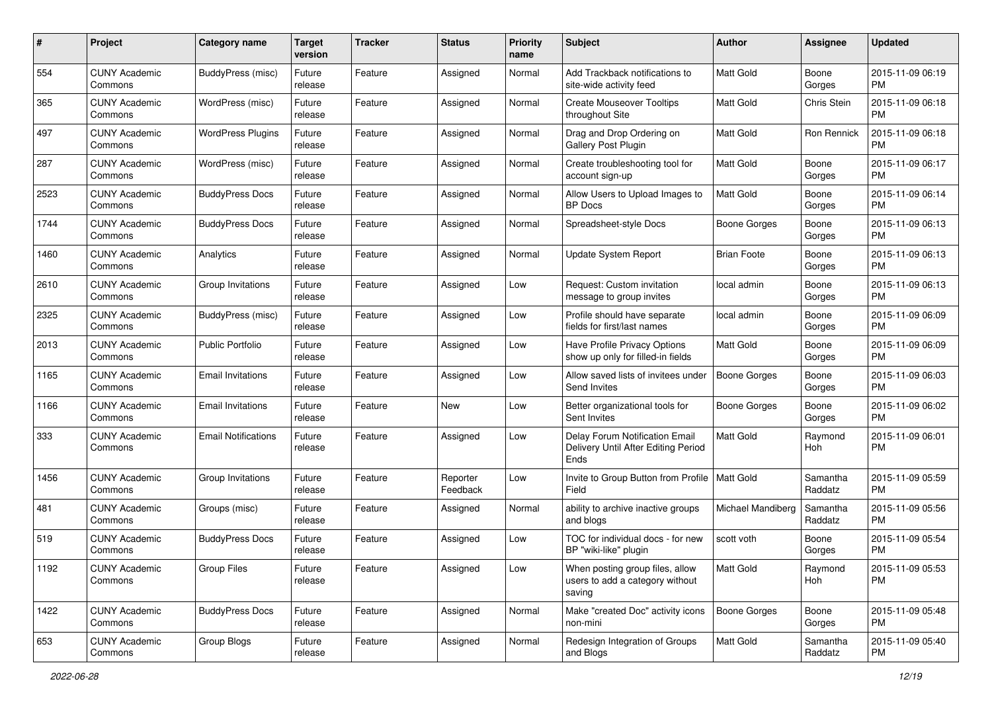| #    | Project                         | <b>Category name</b>       | <b>Target</b><br>version | <b>Tracker</b> | <b>Status</b>        | <b>Priority</b><br>name | <b>Subject</b>                                                                | Author              | <b>Assignee</b>     | <b>Updated</b>                |
|------|---------------------------------|----------------------------|--------------------------|----------------|----------------------|-------------------------|-------------------------------------------------------------------------------|---------------------|---------------------|-------------------------------|
| 554  | <b>CUNY Academic</b><br>Commons | BuddyPress (misc)          | Future<br>release        | Feature        | Assigned             | Normal                  | Add Trackback notifications to<br>site-wide activity feed                     | <b>Matt Gold</b>    | Boone<br>Gorges     | 2015-11-09 06:19<br><b>PM</b> |
| 365  | <b>CUNY Academic</b><br>Commons | WordPress (misc)           | Future<br>release        | Feature        | Assigned             | Normal                  | <b>Create Mouseover Tooltips</b><br>throughout Site                           | <b>Matt Gold</b>    | Chris Stein         | 2015-11-09 06:18<br><b>PM</b> |
| 497  | <b>CUNY Academic</b><br>Commons | <b>WordPress Plugins</b>   | Future<br>release        | Feature        | Assigned             | Normal                  | Drag and Drop Ordering on<br>Gallery Post Plugin                              | Matt Gold           | Ron Rennick         | 2015-11-09 06:18<br><b>PM</b> |
| 287  | <b>CUNY Academic</b><br>Commons | WordPress (misc)           | Future<br>release        | Feature        | Assigned             | Normal                  | Create troubleshooting tool for<br>account sign-up                            | <b>Matt Gold</b>    | Boone<br>Gorges     | 2015-11-09 06:17<br><b>PM</b> |
| 2523 | <b>CUNY Academic</b><br>Commons | <b>BuddyPress Docs</b>     | Future<br>release        | Feature        | Assigned             | Normal                  | Allow Users to Upload Images to<br><b>BP</b> Docs                             | <b>Matt Gold</b>    | Boone<br>Gorges     | 2015-11-09 06:14<br><b>PM</b> |
| 1744 | <b>CUNY Academic</b><br>Commons | <b>BuddyPress Docs</b>     | Future<br>release        | Feature        | Assigned             | Normal                  | Spreadsheet-style Docs                                                        | <b>Boone Gorges</b> | Boone<br>Gorges     | 2015-11-09 06:13<br><b>PM</b> |
| 1460 | <b>CUNY Academic</b><br>Commons | Analytics                  | Future<br>release        | Feature        | Assigned             | Normal                  | Update System Report                                                          | <b>Brian Foote</b>  | Boone<br>Gorges     | 2015-11-09 06:13<br><b>PM</b> |
| 2610 | <b>CUNY Academic</b><br>Commons | Group Invitations          | Future<br>release        | Feature        | Assigned             | Low                     | Request: Custom invitation<br>message to group invites                        | local admin         | Boone<br>Gorges     | 2015-11-09 06:13<br><b>PM</b> |
| 2325 | <b>CUNY Academic</b><br>Commons | BuddyPress (misc)          | Future<br>release        | Feature        | Assigned             | Low                     | Profile should have separate<br>fields for first/last names                   | local admin         | Boone<br>Gorges     | 2015-11-09 06:09<br><b>PM</b> |
| 2013 | <b>CUNY Academic</b><br>Commons | <b>Public Portfolio</b>    | Future<br>release        | Feature        | Assigned             | Low                     | Have Profile Privacy Options<br>show up only for filled-in fields             | Matt Gold           | Boone<br>Gorges     | 2015-11-09 06:09<br><b>PM</b> |
| 1165 | <b>CUNY Academic</b><br>Commons | <b>Email Invitations</b>   | Future<br>release        | Feature        | Assigned             | Low                     | Allow saved lists of invitees under<br>Send Invites                           | Boone Gorges        | Boone<br>Gorges     | 2015-11-09 06:03<br><b>PM</b> |
| 1166 | <b>CUNY Academic</b><br>Commons | <b>Email Invitations</b>   | Future<br>release        | Feature        | New                  | Low                     | Better organizational tools for<br>Sent Invites                               | <b>Boone Gorges</b> | Boone<br>Gorges     | 2015-11-09 06:02<br><b>PM</b> |
| 333  | <b>CUNY Academic</b><br>Commons | <b>Email Notifications</b> | Future<br>release        | Feature        | Assigned             | Low                     | Delay Forum Notification Email<br>Delivery Until After Editing Period<br>Ends | <b>Matt Gold</b>    | Raymond<br>Hoh      | 2015-11-09 06:01<br><b>PM</b> |
| 1456 | <b>CUNY Academic</b><br>Commons | Group Invitations          | Future<br>release        | Feature        | Reporter<br>Feedback | Low                     | Invite to Group Button from Profile   Matt Gold<br>Field                      |                     | Samantha<br>Raddatz | 2015-11-09 05:59<br><b>PM</b> |
| 481  | <b>CUNY Academic</b><br>Commons | Groups (misc)              | Future<br>release        | Feature        | Assigned             | Normal                  | ability to archive inactive groups<br>and blogs                               | Michael Mandiberg   | Samantha<br>Raddatz | 2015-11-09 05:56<br><b>PM</b> |
| 519  | <b>CUNY Academic</b><br>Commons | <b>BuddyPress Docs</b>     | Future<br>release        | Feature        | Assigned             | Low                     | TOC for individual docs - for new<br>BP "wiki-like" plugin                    | scott voth          | Boone<br>Gorges     | 2015-11-09 05:54<br><b>PM</b> |
| 1192 | <b>CUNY Academic</b><br>Commons | Group Files                | Future<br>release        | Feature        | Assigned             | Low                     | When posting group files, allow<br>users to add a category without<br>saving  | Matt Gold           | Raymond<br>Hoh      | 2015-11-09 05:53<br>PM        |
| 1422 | <b>CUNY Academic</b><br>Commons | <b>BuddyPress Docs</b>     | Future<br>release        | Feature        | Assigned             | Normal                  | Make "created Doc" activity icons<br>non-mini                                 | <b>Boone Gorges</b> | Boone<br>Gorges     | 2015-11-09 05:48<br><b>PM</b> |
| 653  | <b>CUNY Academic</b><br>Commons | Group Blogs                | Future<br>release        | Feature        | Assigned             | Normal                  | Redesign Integration of Groups<br>and Blogs                                   | Matt Gold           | Samantha<br>Raddatz | 2015-11-09 05:40<br>PM        |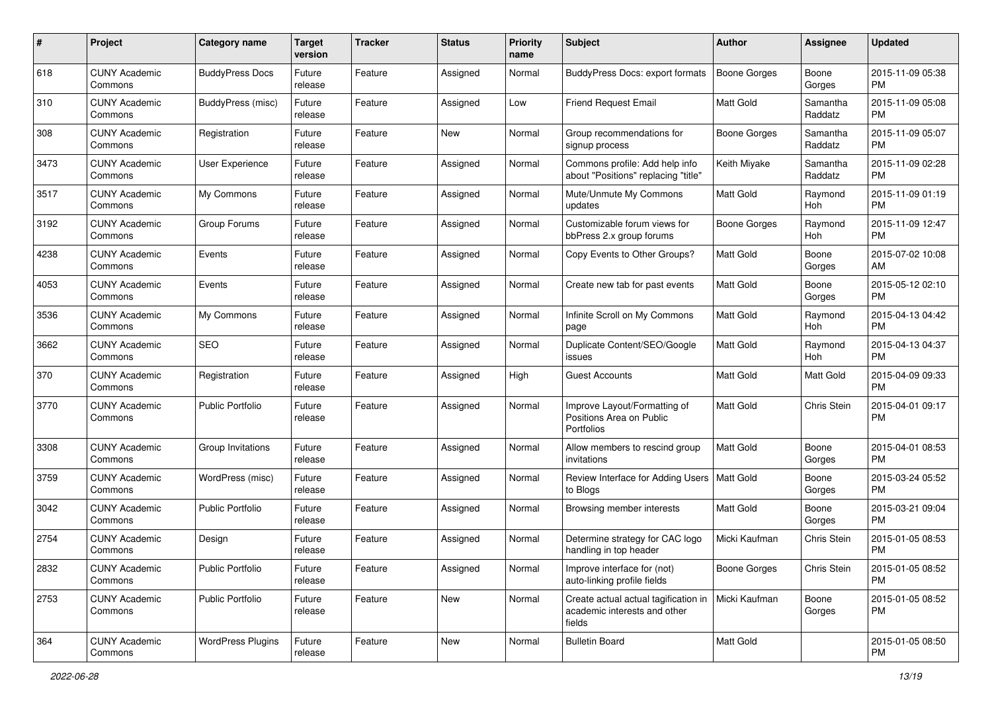| #    | Project                         | <b>Category name</b>     | <b>Target</b><br>version | <b>Tracker</b> | <b>Status</b> | <b>Priority</b><br>name | Subject                                                                                        | Author              | <b>Assignee</b>     | <b>Updated</b>                |
|------|---------------------------------|--------------------------|--------------------------|----------------|---------------|-------------------------|------------------------------------------------------------------------------------------------|---------------------|---------------------|-------------------------------|
| 618  | <b>CUNY Academic</b><br>Commons | <b>BuddyPress Docs</b>   | Future<br>release        | Feature        | Assigned      | Normal                  | BuddyPress Docs: export formats                                                                | <b>Boone Gorges</b> | Boone<br>Gorges     | 2015-11-09 05:38<br><b>PM</b> |
| 310  | <b>CUNY Academic</b><br>Commons | BuddyPress (misc)        | Future<br>release        | Feature        | Assigned      | Low                     | <b>Friend Request Email</b>                                                                    | Matt Gold           | Samantha<br>Raddatz | 2015-11-09 05:08<br><b>PM</b> |
| 308  | CUNY Academic<br>Commons        | Registration             | Future<br>release        | Feature        | <b>New</b>    | Normal                  | Group recommendations for<br>signup process                                                    | <b>Boone Gorges</b> | Samantha<br>Raddatz | 2015-11-09 05:07<br><b>PM</b> |
| 3473 | <b>CUNY Academic</b><br>Commons | User Experience          | Future<br>release        | Feature        | Assigned      | Normal                  | Commons profile: Add help info<br>about "Positions" replacing "title"                          | Keith Miyake        | Samantha<br>Raddatz | 2015-11-09 02:28<br><b>PM</b> |
| 3517 | <b>CUNY Academic</b><br>Commons | My Commons               | Future<br>release        | Feature        | Assigned      | Normal                  | Mute/Unmute My Commons<br>updates                                                              | <b>Matt Gold</b>    | Raymond<br>Hoh      | 2015-11-09 01:19<br><b>PM</b> |
| 3192 | <b>CUNY Academic</b><br>Commons | Group Forums             | Future<br>release        | Feature        | Assigned      | Normal                  | Customizable forum views for<br>bbPress 2.x group forums                                       | <b>Boone Gorges</b> | Raymond<br>Hoh      | 2015-11-09 12:47<br><b>PM</b> |
| 4238 | <b>CUNY Academic</b><br>Commons | Events                   | Future<br>release        | Feature        | Assigned      | Normal                  | Copy Events to Other Groups?                                                                   | Matt Gold           | Boone<br>Gorges     | 2015-07-02 10:08<br>AM        |
| 4053 | <b>CUNY Academic</b><br>Commons | Events                   | Future<br>release        | Feature        | Assigned      | Normal                  | Create new tab for past events                                                                 | <b>Matt Gold</b>    | Boone<br>Gorges     | 2015-05-12 02:10<br><b>PM</b> |
| 3536 | <b>CUNY Academic</b><br>Commons | My Commons               | Future<br>release        | Feature        | Assigned      | Normal                  | Infinite Scroll on My Commons<br>page                                                          | <b>Matt Gold</b>    | Raymond<br>Hoh      | 2015-04-13 04:42<br><b>PM</b> |
| 3662 | <b>CUNY Academic</b><br>Commons | <b>SEO</b>               | Future<br>release        | Feature        | Assigned      | Normal                  | Duplicate Content/SEO/Google<br>issues                                                         | Matt Gold           | Raymond<br>Hoh      | 2015-04-13 04:37<br><b>PM</b> |
| 370  | <b>CUNY Academic</b><br>Commons | Registration             | Future<br>release        | Feature        | Assigned      | High                    | <b>Guest Accounts</b>                                                                          | <b>Matt Gold</b>    | Matt Gold           | 2015-04-09 09:33<br><b>PM</b> |
| 3770 | <b>CUNY Academic</b><br>Commons | <b>Public Portfolio</b>  | Future<br>release        | Feature        | Assigned      | Normal                  | Improve Layout/Formatting of<br>Positions Area on Public<br>Portfolios                         | <b>Matt Gold</b>    | Chris Stein         | 2015-04-01 09:17<br><b>PM</b> |
| 3308 | <b>CUNY Academic</b><br>Commons | Group Invitations        | Future<br>release        | Feature        | Assigned      | Normal                  | Allow members to rescind group<br>invitations                                                  | <b>Matt Gold</b>    | Boone<br>Gorges     | 2015-04-01 08:53<br><b>PM</b> |
| 3759 | <b>CUNY Academic</b><br>Commons | WordPress (misc)         | Future<br>release        | Feature        | Assigned      | Normal                  | Review Interface for Adding Users   Matt Gold<br>to Blogs                                      |                     | Boone<br>Gorges     | 2015-03-24 05:52<br><b>PM</b> |
| 3042 | <b>CUNY Academic</b><br>Commons | Public Portfolio         | Future<br>release        | Feature        | Assigned      | Normal                  | Browsing member interests                                                                      | <b>Matt Gold</b>    | Boone<br>Gorges     | 2015-03-21 09:04<br><b>PM</b> |
| 2754 | <b>CUNY Academic</b><br>Commons | Design                   | Future<br>release        | Feature        | Assigned      | Normal                  | Determine strategy for CAC logo<br>handling in top header                                      | Micki Kaufman       | Chris Stein         | 2015-01-05 08:53<br><b>PM</b> |
| 2832 | <b>CUNY Academic</b><br>Commons | Public Portfolio         | Future<br>release        | Feature        | Assigned      | Normal                  | Improve interface for (not)<br>auto-linking profile fields                                     | <b>Boone Gorges</b> | Chris Stein         | 2015-01-05 08:52<br>PM        |
| 2753 | <b>CUNY Academic</b><br>Commons | Public Portfolio         | Future<br>release        | Feature        | New           | Normal                  | Create actual actual tagification in   Micki Kaufman<br>academic interests and other<br>fields |                     | Boone<br>Gorges     | 2015-01-05 08:52<br><b>PM</b> |
| 364  | <b>CUNY Academic</b><br>Commons | <b>WordPress Plugins</b> | Future<br>release        | Feature        | New           | Normal                  | <b>Bulletin Board</b>                                                                          | Matt Gold           |                     | 2015-01-05 08:50<br>PM        |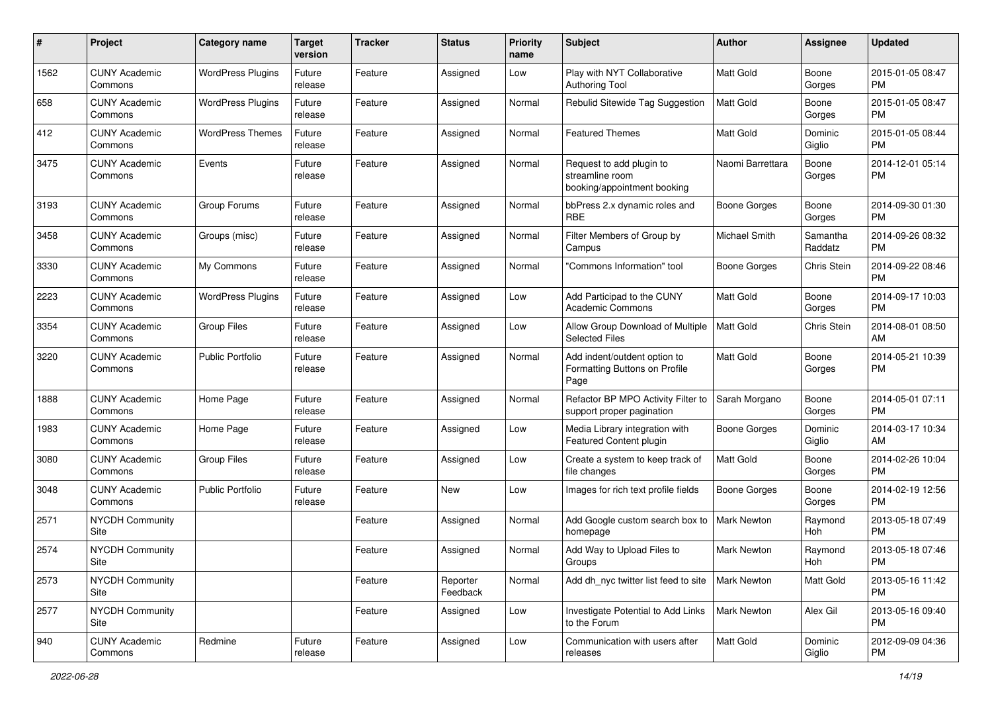| #             | Project                         | <b>Category name</b>     | <b>Target</b><br>version | <b>Tracker</b> | <b>Status</b>        | <b>Priority</b><br>name | Subject                                                                    | Author              | <b>Assignee</b>     | <b>Updated</b>                |
|---------------|---------------------------------|--------------------------|--------------------------|----------------|----------------------|-------------------------|----------------------------------------------------------------------------|---------------------|---------------------|-------------------------------|
| 1562          | <b>CUNY Academic</b><br>Commons | <b>WordPress Plugins</b> | Future<br>release        | Feature        | Assigned             | Low                     | Play with NYT Collaborative<br><b>Authoring Tool</b>                       | <b>Matt Gold</b>    | Boone<br>Gorges     | 2015-01-05 08:47<br><b>PM</b> |
| 658           | <b>CUNY Academic</b><br>Commons | <b>WordPress Plugins</b> | Future<br>release        | Feature        | Assigned             | Normal                  | Rebulid Sitewide Tag Suggestion                                            | <b>Matt Gold</b>    | Boone<br>Gorges     | 2015-01-05 08:47<br><b>PM</b> |
| 412           | <b>CUNY Academic</b><br>Commons | <b>WordPress Themes</b>  | Future<br>release        | Feature        | Assigned             | Normal                  | <b>Featured Themes</b>                                                     | <b>Matt Gold</b>    | Dominic<br>Giglio   | 2015-01-05 08:44<br><b>PM</b> |
| 3475          | <b>CUNY Academic</b><br>Commons | Events                   | Future<br>release        | Feature        | Assigned             | Normal                  | Request to add plugin to<br>streamline room<br>booking/appointment booking | Naomi Barrettara    | Boone<br>Gorges     | 2014-12-01 05:14<br><b>PM</b> |
| 3193          | <b>CUNY Academic</b><br>Commons | Group Forums             | Future<br>release        | Feature        | Assigned             | Normal                  | bbPress 2.x dynamic roles and<br><b>RBE</b>                                | Boone Gorges        | Boone<br>Gorges     | 2014-09-30 01:30<br><b>PM</b> |
| 3458          | <b>CUNY Academic</b><br>Commons | Groups (misc)            | Future<br>release        | Feature        | Assigned             | Normal                  | Filter Members of Group by<br>Campus                                       | Michael Smith       | Samantha<br>Raddatz | 2014-09-26 08:32<br><b>PM</b> |
| 3330          | <b>CUNY Academic</b><br>Commons | My Commons               | Future<br>release        | Feature        | Assigned             | Normal                  | "Commons Information" tool                                                 | <b>Boone Gorges</b> | Chris Stein         | 2014-09-22 08:46<br><b>PM</b> |
| 2223          | <b>CUNY Academic</b><br>Commons | <b>WordPress Plugins</b> | Future<br>release        | Feature        | Assigned             | Low                     | Add Participad to the CUNY<br><b>Academic Commons</b>                      | Matt Gold           | Boone<br>Gorges     | 2014-09-17 10:03<br><b>PM</b> |
| 3354          | <b>CUNY Academic</b><br>Commons | <b>Group Files</b>       | Future<br>release        | Feature        | Assigned             | Low                     | Allow Group Download of Multiple<br><b>Selected Files</b>                  | <b>Matt Gold</b>    | Chris Stein         | 2014-08-01 08:50<br>AM        |
| 3220          | <b>CUNY Academic</b><br>Commons | <b>Public Portfolio</b>  | Future<br>release        | Feature        | Assigned             | Normal                  | Add indent/outdent option to<br>Formatting Buttons on Profile<br>Page      | Matt Gold           | Boone<br>Gorges     | 2014-05-21 10:39<br><b>PM</b> |
| 1888          | <b>CUNY Academic</b><br>Commons | Home Page                | Future<br>release        | Feature        | Assigned             | Normal                  | Refactor BP MPO Activity Filter to<br>support proper pagination            | Sarah Morgano       | Boone<br>Gorges     | 2014-05-01 07:11<br><b>PM</b> |
| 1983          | <b>CUNY Academic</b><br>Commons | Home Page                | Future<br>release        | Feature        | Assigned             | Low                     | Media Library integration with<br>Featured Content plugin                  | <b>Boone Gorges</b> | Dominic<br>Giglio   | 2014-03-17 10:34<br>AM        |
| 3080          | <b>CUNY Academic</b><br>Commons | <b>Group Files</b>       | Future<br>release        | Feature        | Assigned             | Low                     | Create a system to keep track of<br>file changes                           | Matt Gold           | Boone<br>Gorges     | 2014-02-26 10:04<br><b>PM</b> |
| 3048          | <b>CUNY Academic</b><br>Commons | <b>Public Portfolio</b>  | Future<br>release        | Feature        | <b>New</b>           | Low                     | Images for rich text profile fields                                        | Boone Gorges        | Boone<br>Gorges     | 2014-02-19 12:56<br><b>PM</b> |
| 2571          | <b>NYCDH Community</b><br>Site  |                          |                          | Feature        | Assigned             | Normal                  | Add Google custom search box to<br>homepage                                | <b>Mark Newton</b>  | Raymond<br>Hoh      | 2013-05-18 07:49<br><b>PM</b> |
| 2574          | <b>NYCDH Community</b><br>Site  |                          |                          | Feature        | Assigned             | Normal                  | Add Way to Upload Files to<br>Groups                                       | Mark Newton         | Raymond<br>Hoh      | 2013-05-18 07:46<br>PM        |
| 2573          | <b>NYCDH Community</b><br>Site  |                          |                          | Feature        | Reporter<br>Feedback | Normal                  | Add dh_nyc twitter list feed to site                                       | <b>Mark Newton</b>  | Matt Gold           | 2013-05-16 11:42<br>PM        |
| 2577          | NYCDH Community<br>Site         |                          |                          | Feature        | Assigned             | Low                     | Investigate Potential to Add Links<br>to the Forum                         | <b>Mark Newton</b>  | Alex Gil            | 2013-05-16 09:40<br><b>PM</b> |
| $ 940\rangle$ | <b>CUNY Academic</b><br>Commons | Redmine                  | Future<br>release        | Feature        | Assigned             | Low                     | Communication with users after<br>releases                                 | Matt Gold           | Dominic<br>Giglio   | 2012-09-09 04:36<br><b>PM</b> |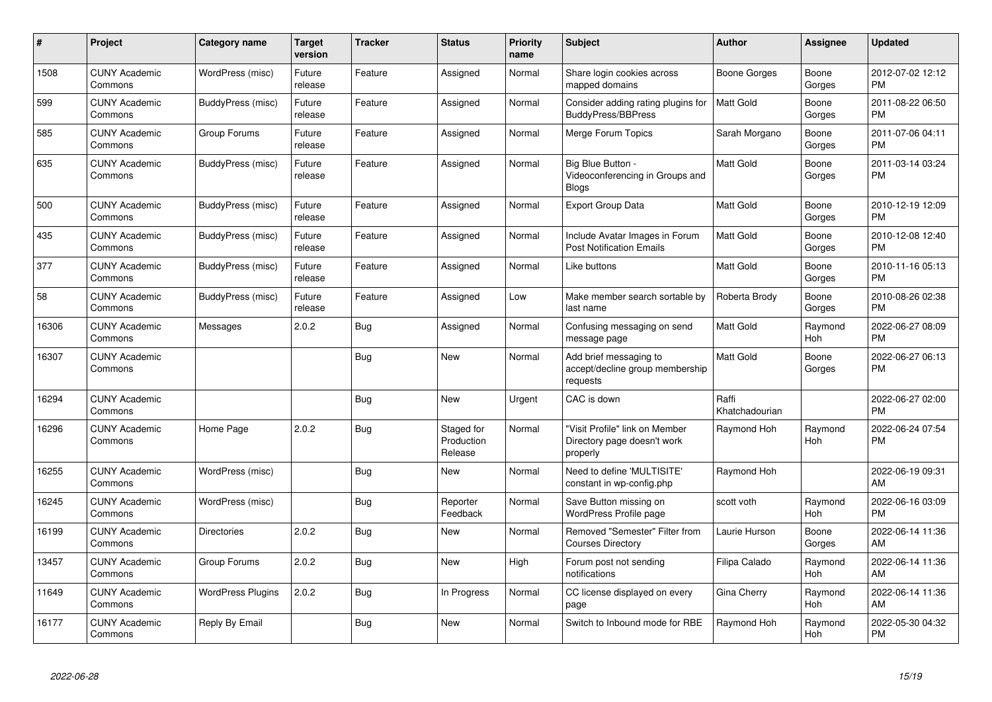| #     | Project                         | Category name            | <b>Target</b><br>version | <b>Tracker</b> | <b>Status</b>                       | Priority<br>name | <b>Subject</b>                                                            | <b>Author</b>           | Assignee              | <b>Updated</b>                |
|-------|---------------------------------|--------------------------|--------------------------|----------------|-------------------------------------|------------------|---------------------------------------------------------------------------|-------------------------|-----------------------|-------------------------------|
| 1508  | <b>CUNY Academic</b><br>Commons | WordPress (misc)         | Future<br>release        | Feature        | Assigned                            | Normal           | Share login cookies across<br>mapped domains                              | Boone Gorges            | Boone<br>Gorges       | 2012-07-02 12:12<br><b>PM</b> |
| 599   | <b>CUNY Academic</b><br>Commons | BuddyPress (misc)        | Future<br>release        | Feature        | Assigned                            | Normal           | Consider adding rating plugins for<br><b>BuddyPress/BBPress</b>           | <b>Matt Gold</b>        | Boone<br>Gorges       | 2011-08-22 06:50<br><b>PM</b> |
| 585   | <b>CUNY Academic</b><br>Commons | Group Forums             | Future<br>release        | Feature        | Assigned                            | Normal           | Merge Forum Topics                                                        | Sarah Morgano           | Boone<br>Gorges       | 2011-07-06 04:11<br><b>PM</b> |
| 635   | <b>CUNY Academic</b><br>Commons | BuddyPress (misc)        | Future<br>release        | Feature        | Assigned                            | Normal           | Big Blue Button -<br>Videoconferencing in Groups and<br><b>Blogs</b>      | Matt Gold               | Boone<br>Gorges       | 2011-03-14 03:24<br><b>PM</b> |
| 500   | <b>CUNY Academic</b><br>Commons | BuddyPress (misc)        | Future<br>release        | Feature        | Assigned                            | Normal           | <b>Export Group Data</b>                                                  | <b>Matt Gold</b>        | Boone<br>Gorges       | 2010-12-19 12:09<br><b>PM</b> |
| 435   | <b>CUNY Academic</b><br>Commons | BuddyPress (misc)        | Future<br>release        | Feature        | Assigned                            | Normal           | Include Avatar Images in Forum<br><b>Post Notification Emails</b>         | <b>Matt Gold</b>        | Boone<br>Gorges       | 2010-12-08 12:40<br><b>PM</b> |
| 377   | <b>CUNY Academic</b><br>Commons | BuddyPress (misc)        | Future<br>release        | Feature        | Assigned                            | Normal           | Like buttons                                                              | Matt Gold               | Boone<br>Gorges       | 2010-11-16 05:13<br><b>PM</b> |
| 58    | <b>CUNY Academic</b><br>Commons | BuddyPress (misc)        | Future<br>release        | Feature        | Assigned                            | Low              | Make member search sortable by<br>last name                               | Roberta Brody           | Boone<br>Gorges       | 2010-08-26 02:38<br><b>PM</b> |
| 16306 | <b>CUNY Academic</b><br>Commons | Messages                 | 2.0.2                    | <b>Bug</b>     | Assigned                            | Normal           | Confusing messaging on send<br>message page                               | Matt Gold               | Raymond<br>Hoh        | 2022-06-27 08:09<br><b>PM</b> |
| 16307 | <b>CUNY Academic</b><br>Commons |                          |                          | <b>Bug</b>     | New                                 | Normal           | Add brief messaging to<br>accept/decline group membership<br>requests     | Matt Gold               | Boone<br>Gorges       | 2022-06-27 06:13<br><b>PM</b> |
| 16294 | <b>CUNY Academic</b><br>Commons |                          |                          | Bug            | <b>New</b>                          | Urgent           | CAC is down                                                               | Raffi<br>Khatchadourian |                       | 2022-06-27 02:00<br><b>PM</b> |
| 16296 | <b>CUNY Academic</b><br>Commons | Home Page                | 2.0.2                    | Bug            | Staged for<br>Production<br>Release | Normal           | "Visit Profile" link on Member<br>Directory page doesn't work<br>properly | Raymond Hoh             | Raymond<br><b>Hoh</b> | 2022-06-24 07:54<br><b>PM</b> |
| 16255 | <b>CUNY Academic</b><br>Commons | WordPress (misc)         |                          | Bug            | <b>New</b>                          | Normal           | Need to define 'MULTISITE'<br>constant in wp-config.php                   | Raymond Hoh             |                       | 2022-06-19 09:31<br>AM        |
| 16245 | <b>CUNY Academic</b><br>Commons | WordPress (misc)         |                          | Bug            | Reporter<br>Feedback                | Normal           | Save Button missing on<br>WordPress Profile page                          | scott voth              | Raymond<br>Hoh        | 2022-06-16 03:09<br><b>PM</b> |
| 16199 | <b>CUNY Academic</b><br>Commons | <b>Directories</b>       | 2.0.2                    | Bug            | New                                 | Normal           | Removed "Semester" Filter from<br><b>Courses Directory</b>                | Laurie Hurson           | Boone<br>Gorges       | 2022-06-14 11:36<br>AM        |
| 13457 | <b>CUNY Academic</b><br>Commons | Group Forums             | 2.0.2                    | Bug            | <b>New</b>                          | High             | Forum post not sending<br>notifications                                   | Filipa Calado           | Raymond<br><b>Hoh</b> | 2022-06-14 11:36<br>AM        |
| 11649 | <b>CUNY Academic</b><br>Commons | <b>WordPress Plugins</b> | 2.0.2                    | Bug            | In Progress                         | Normal           | CC license displayed on every<br>page                                     | Gina Cherry             | Raymond<br>Hoh        | 2022-06-14 11:36<br>AM        |
| 16177 | <b>CUNY Academic</b><br>Commons | Reply By Email           |                          | <b>Bug</b>     | <b>New</b>                          | Normal           | Switch to Inbound mode for RBE                                            | Raymond Hoh             | Raymond<br>Hoh        | 2022-05-30 04:32<br><b>PM</b> |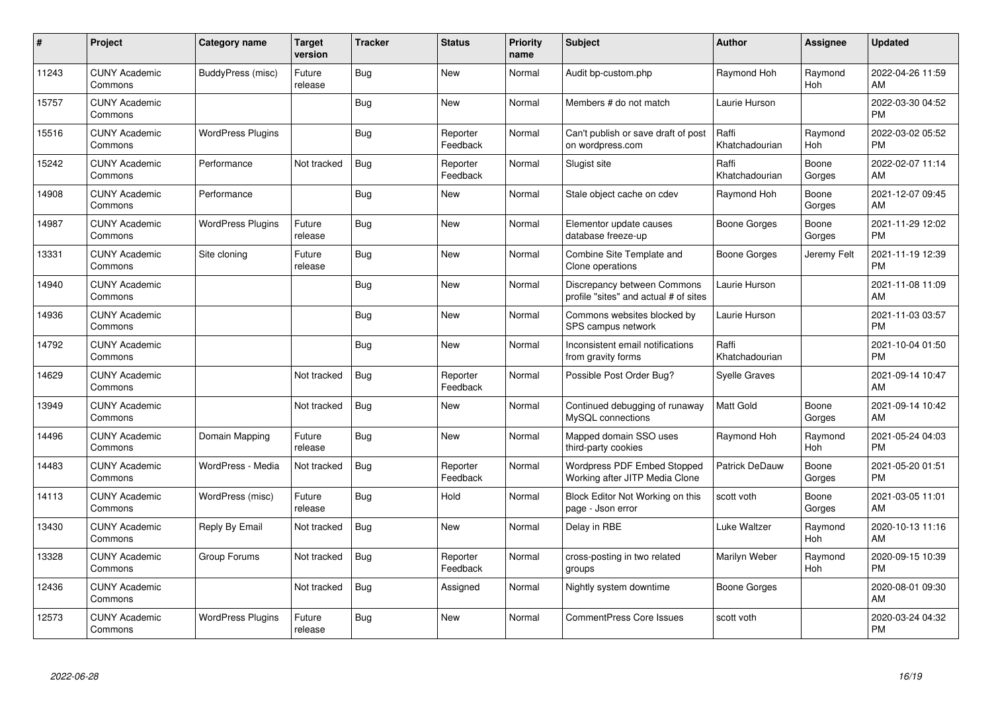| #     | Project                         | <b>Category name</b>     | Target<br>version | <b>Tracker</b> | <b>Status</b>        | Priority<br>name | <b>Subject</b>                                                       | <b>Author</b>           | <b>Assignee</b>       | <b>Updated</b>                |
|-------|---------------------------------|--------------------------|-------------------|----------------|----------------------|------------------|----------------------------------------------------------------------|-------------------------|-----------------------|-------------------------------|
| 11243 | <b>CUNY Academic</b><br>Commons | BuddyPress (misc)        | Future<br>release | Bug            | <b>New</b>           | Normal           | Audit bp-custom.php                                                  | Raymond Hoh             | Raymond<br><b>Hoh</b> | 2022-04-26 11:59<br>AM        |
| 15757 | <b>CUNY Academic</b><br>Commons |                          |                   | <b>Bug</b>     | <b>New</b>           | Normal           | Members # do not match                                               | Laurie Hurson           |                       | 2022-03-30 04:52<br><b>PM</b> |
| 15516 | <b>CUNY Academic</b><br>Commons | <b>WordPress Plugins</b> |                   | <b>Bug</b>     | Reporter<br>Feedback | Normal           | Can't publish or save draft of post<br>on wordpress.com              | Raffi<br>Khatchadourian | Raymond<br>Hoh        | 2022-03-02 05:52<br>PM        |
| 15242 | <b>CUNY Academic</b><br>Commons | Performance              | Not tracked       | <b>Bug</b>     | Reporter<br>Feedback | Normal           | Slugist site                                                         | Raffi<br>Khatchadourian | Boone<br>Gorges       | 2022-02-07 11:14<br>AM        |
| 14908 | <b>CUNY Academic</b><br>Commons | Performance              |                   | <b>Bug</b>     | <b>New</b>           | Normal           | Stale object cache on cdev                                           | Raymond Hoh             | Boone<br>Gorges       | 2021-12-07 09:45<br>AM        |
| 14987 | <b>CUNY Academic</b><br>Commons | <b>WordPress Plugins</b> | Future<br>release | Bug            | <b>New</b>           | Normal           | Elementor update causes<br>database freeze-up                        | Boone Gorges            | Boone<br>Gorges       | 2021-11-29 12:02<br><b>PM</b> |
| 13331 | <b>CUNY Academic</b><br>Commons | Site cloning             | Future<br>release | <b>Bug</b>     | <b>New</b>           | Normal           | Combine Site Template and<br>Clone operations                        | <b>Boone Gorges</b>     | Jeremy Felt           | 2021-11-19 12:39<br><b>PM</b> |
| 14940 | <b>CUNY Academic</b><br>Commons |                          |                   | Bug            | <b>New</b>           | Normal           | Discrepancy between Commons<br>profile "sites" and actual # of sites | Laurie Hurson           |                       | 2021-11-08 11:09<br>AM        |
| 14936 | <b>CUNY Academic</b><br>Commons |                          |                   | Bug            | <b>New</b>           | Normal           | Commons websites blocked by<br>SPS campus network                    | Laurie Hurson           |                       | 2021-11-03 03:57<br><b>PM</b> |
| 14792 | <b>CUNY Academic</b><br>Commons |                          |                   | Bug            | <b>New</b>           | Normal           | Inconsistent email notifications<br>from gravity forms               | Raffi<br>Khatchadourian |                       | 2021-10-04 01:50<br><b>PM</b> |
| 14629 | <b>CUNY Academic</b><br>Commons |                          | Not tracked       | Bug            | Reporter<br>Feedback | Normal           | Possible Post Order Bug?                                             | <b>Syelle Graves</b>    |                       | 2021-09-14 10:47<br>AM        |
| 13949 | <b>CUNY Academic</b><br>Commons |                          | Not tracked       | Bug            | <b>New</b>           | Normal           | Continued debugging of runaway<br>MySQL connections                  | <b>Matt Gold</b>        | Boone<br>Gorges       | 2021-09-14 10:42<br>AM        |
| 14496 | <b>CUNY Academic</b><br>Commons | Domain Mapping           | Future<br>release | <b>Bug</b>     | <b>New</b>           | Normal           | Mapped domain SSO uses<br>third-party cookies                        | Raymond Hoh             | Raymond<br>Hoh        | 2021-05-24 04:03<br><b>PM</b> |
| 14483 | <b>CUNY Academic</b><br>Commons | WordPress - Media        | Not tracked       | Bug            | Reporter<br>Feedback | Normal           | Wordpress PDF Embed Stopped<br>Working after JITP Media Clone        | Patrick DeDauw          | Boone<br>Gorges       | 2021-05-20 01:51<br><b>PM</b> |
| 14113 | <b>CUNY Academic</b><br>Commons | WordPress (misc)         | Future<br>release | Bug            | Hold                 | Normal           | Block Editor Not Working on this<br>page - Json error                | scott voth              | Boone<br>Gorges       | 2021-03-05 11:01<br>AM        |
| 13430 | <b>CUNY Academic</b><br>Commons | Reply By Email           | Not tracked       | <b>Bug</b>     | <b>New</b>           | Normal           | Delay in RBE                                                         | Luke Waltzer            | Raymond<br><b>Hoh</b> | 2020-10-13 11:16<br>AM        |
| 13328 | <b>CUNY Academic</b><br>Commons | Group Forums             | Not tracked       | <b>Bug</b>     | Reporter<br>Feedback | Normal           | cross-posting in two related<br>groups                               | Marilyn Weber           | Raymond<br>Hoh        | 2020-09-15 10:39<br><b>PM</b> |
| 12436 | <b>CUNY Academic</b><br>Commons |                          | Not tracked       | Bug            | Assigned             | Normal           | Nightly system downtime                                              | <b>Boone Gorges</b>     |                       | 2020-08-01 09:30<br>AM        |
| 12573 | <b>CUNY Academic</b><br>Commons | <b>WordPress Plugins</b> | Future<br>release | Bug            | <b>New</b>           | Normal           | <b>CommentPress Core Issues</b>                                      | scott voth              |                       | 2020-03-24 04:32<br><b>PM</b> |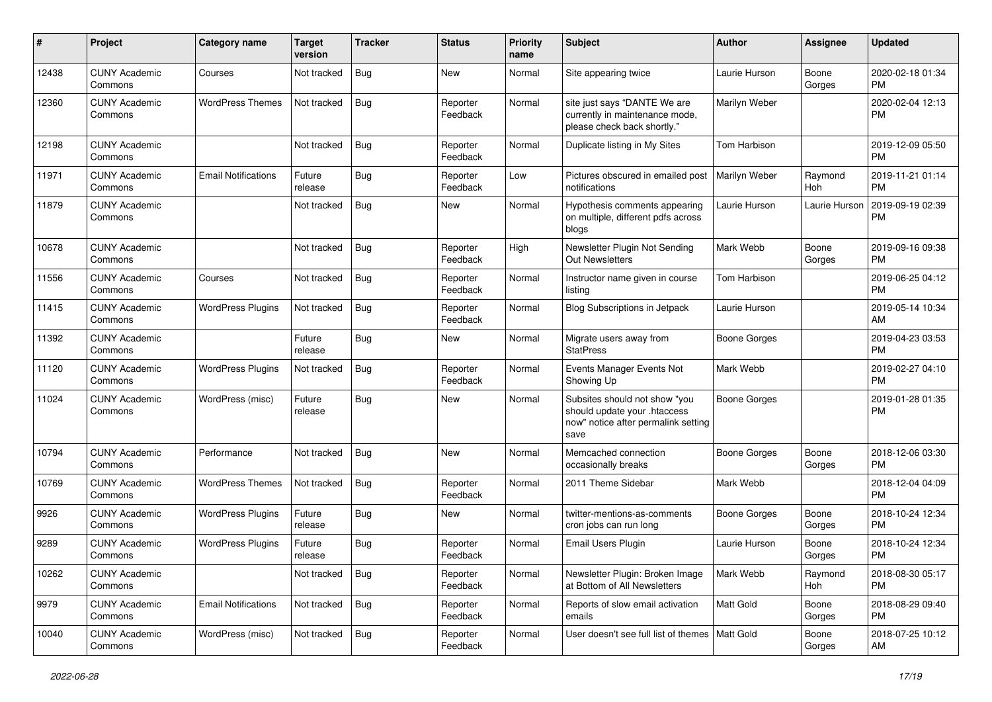| #     | Project                         | <b>Category name</b>       | <b>Target</b><br>version | <b>Tracker</b> | <b>Status</b>        | <b>Priority</b><br>name | <b>Subject</b>                                                                                               | <b>Author</b>       | <b>Assignee</b> | <b>Updated</b>                |
|-------|---------------------------------|----------------------------|--------------------------|----------------|----------------------|-------------------------|--------------------------------------------------------------------------------------------------------------|---------------------|-----------------|-------------------------------|
| 12438 | <b>CUNY Academic</b><br>Commons | Courses                    | Not tracked              | <b>Bug</b>     | <b>New</b>           | Normal                  | Site appearing twice                                                                                         | Laurie Hurson       | Boone<br>Gorges | 2020-02-18 01:34<br>PМ        |
| 12360 | <b>CUNY Academic</b><br>Commons | <b>WordPress Themes</b>    | Not tracked              | <b>Bug</b>     | Reporter<br>Feedback | Normal                  | site just says "DANTE We are<br>currently in maintenance mode,<br>please check back shortly."                | Marilyn Weber       |                 | 2020-02-04 12:13<br><b>PM</b> |
| 12198 | <b>CUNY Academic</b><br>Commons |                            | Not tracked              | <b>Bug</b>     | Reporter<br>Feedback | Normal                  | Duplicate listing in My Sites                                                                                | Tom Harbison        |                 | 2019-12-09 05:50<br><b>PM</b> |
| 11971 | <b>CUNY Academic</b><br>Commons | <b>Email Notifications</b> | Future<br>release        | <b>Bug</b>     | Reporter<br>Feedback | Low                     | Pictures obscured in emailed post<br>notifications                                                           | Marilyn Weber       | Raymond<br>Hoh  | 2019-11-21 01:14<br><b>PM</b> |
| 11879 | <b>CUNY Academic</b><br>Commons |                            | Not tracked              | Bug            | New                  | Normal                  | Hypothesis comments appearing<br>on multiple, different pdfs across<br>blogs                                 | Laurie Hurson       | Laurie Hurson   | 2019-09-19 02:39<br><b>PM</b> |
| 10678 | <b>CUNY Academic</b><br>Commons |                            | Not tracked              | <b>Bug</b>     | Reporter<br>Feedback | High                    | Newsletter Plugin Not Sending<br><b>Out Newsletters</b>                                                      | Mark Webb           | Boone<br>Gorges | 2019-09-16 09:38<br><b>PM</b> |
| 11556 | <b>CUNY Academic</b><br>Commons | Courses                    | Not tracked              | <b>Bug</b>     | Reporter<br>Feedback | Normal                  | Instructor name given in course<br>listing                                                                   | Tom Harbison        |                 | 2019-06-25 04:12<br><b>PM</b> |
| 11415 | <b>CUNY Academic</b><br>Commons | <b>WordPress Plugins</b>   | Not tracked              | <b>Bug</b>     | Reporter<br>Feedback | Normal                  | <b>Blog Subscriptions in Jetpack</b>                                                                         | Laurie Hurson       |                 | 2019-05-14 10:34<br>AM        |
| 11392 | <b>CUNY Academic</b><br>Commons |                            | Future<br>release        | <b>Bug</b>     | New                  | Normal                  | Migrate users away from<br><b>StatPress</b>                                                                  | <b>Boone Gorges</b> |                 | 2019-04-23 03:53<br><b>PM</b> |
| 11120 | <b>CUNY Academic</b><br>Commons | <b>WordPress Plugins</b>   | Not tracked              | <b>Bug</b>     | Reporter<br>Feedback | Normal                  | Events Manager Events Not<br>Showing Up                                                                      | Mark Webb           |                 | 2019-02-27 04:10<br><b>PM</b> |
| 11024 | <b>CUNY Academic</b><br>Commons | WordPress (misc)           | Future<br>release        | Bug            | New                  | Normal                  | Subsites should not show "you<br>should update your .htaccess<br>now" notice after permalink setting<br>save | <b>Boone Gorges</b> |                 | 2019-01-28 01:35<br><b>PM</b> |
| 10794 | <b>CUNY Academic</b><br>Commons | Performance                | Not tracked              | <b>Bug</b>     | New                  | Normal                  | Memcached connection<br>occasionally breaks                                                                  | <b>Boone Gorges</b> | Boone<br>Gorges | 2018-12-06 03:30<br><b>PM</b> |
| 10769 | <b>CUNY Academic</b><br>Commons | <b>WordPress Themes</b>    | Not tracked              | <b>Bug</b>     | Reporter<br>Feedback | Normal                  | 2011 Theme Sidebar                                                                                           | Mark Webb           |                 | 2018-12-04 04:09<br><b>PM</b> |
| 9926  | <b>CUNY Academic</b><br>Commons | <b>WordPress Plugins</b>   | Future<br>release        | <b>Bug</b>     | New                  | Normal                  | twitter-mentions-as-comments<br>cron jobs can run long                                                       | <b>Boone Gorges</b> | Boone<br>Gorges | 2018-10-24 12:34<br><b>PM</b> |
| 9289  | <b>CUNY Academic</b><br>Commons | <b>WordPress Plugins</b>   | Future<br>release        | Bug            | Reporter<br>Feedback | Normal                  | Email Users Plugin                                                                                           | Laurie Hurson       | Boone<br>Gorges | 2018-10-24 12:34<br><b>PM</b> |
| 10262 | <b>CUNY Academic</b><br>Commons |                            | Not tracked              | Bug            | Reporter<br>Feedback | Normal                  | Newsletter Plugin: Broken Image<br>at Bottom of All Newsletters                                              | Mark Webb           | Raymond<br>Hoh  | 2018-08-30 05:17<br><b>PM</b> |
| 9979  | <b>CUNY Academic</b><br>Commons | <b>Email Notifications</b> | Not tracked              | Bug            | Reporter<br>Feedback | Normal                  | Reports of slow email activation<br>emails                                                                   | Matt Gold           | Boone<br>Gorges | 2018-08-29 09:40<br>PM        |
| 10040 | <b>CUNY Academic</b><br>Commons | WordPress (misc)           | Not tracked              | Bug            | Reporter<br>Feedback | Normal                  | User doesn't see full list of themes   Matt Gold                                                             |                     | Boone<br>Gorges | 2018-07-25 10:12<br>AM        |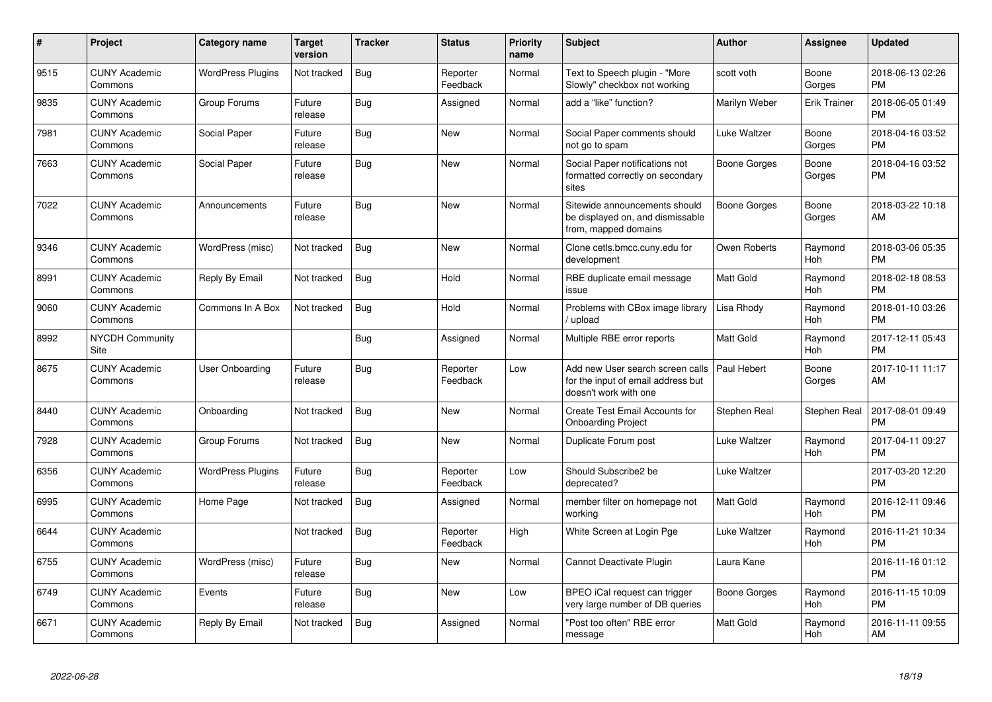| #    | <b>Project</b>                  | Category name            | <b>Target</b><br>version | <b>Tracker</b> | <b>Status</b>        | Priority<br>name | <b>Subject</b>                                                                                  | <b>Author</b> | Assignee              | <b>Updated</b>                |
|------|---------------------------------|--------------------------|--------------------------|----------------|----------------------|------------------|-------------------------------------------------------------------------------------------------|---------------|-----------------------|-------------------------------|
| 9515 | <b>CUNY Academic</b><br>Commons | <b>WordPress Plugins</b> | Not tracked              | Bug            | Reporter<br>Feedback | Normal           | Text to Speech plugin - "More<br>Slowly" checkbox not working                                   | scott voth    | Boone<br>Gorges       | 2018-06-13 02:26<br><b>PM</b> |
| 9835 | <b>CUNY Academic</b><br>Commons | Group Forums             | Future<br>release        | <b>Bug</b>     | Assigned             | Normal           | add a "like" function?                                                                          | Marilyn Weber | <b>Erik Trainer</b>   | 2018-06-05 01:49<br><b>PM</b> |
| 7981 | <b>CUNY Academic</b><br>Commons | Social Paper             | Future<br>release        | <b>Bug</b>     | <b>New</b>           | Normal           | Social Paper comments should<br>not go to spam                                                  | Luke Waltzer  | Boone<br>Gorges       | 2018-04-16 03:52<br><b>PM</b> |
| 7663 | <b>CUNY Academic</b><br>Commons | Social Paper             | Future<br>release        | Bug            | <b>New</b>           | Normal           | Social Paper notifications not<br>formatted correctly on secondary<br>sites                     | Boone Gorges  | Boone<br>Gorges       | 2018-04-16 03:52<br><b>PM</b> |
| 7022 | <b>CUNY Academic</b><br>Commons | Announcements            | Future<br>release        | Bug            | <b>New</b>           | Normal           | Sitewide announcements should<br>be displayed on, and dismissable<br>from, mapped domains       | Boone Gorges  | Boone<br>Gorges       | 2018-03-22 10:18<br>AM        |
| 9346 | <b>CUNY Academic</b><br>Commons | WordPress (misc)         | Not tracked              | <b>Bug</b>     | <b>New</b>           | Normal           | Clone cetls.bmcc.cuny.edu for<br>development                                                    | Owen Roberts  | Raymond<br>Hoh        | 2018-03-06 05:35<br><b>PM</b> |
| 8991 | <b>CUNY Academic</b><br>Commons | Reply By Email           | Not tracked              | <b>Bug</b>     | Hold                 | Normal           | RBE duplicate email message<br>issue                                                            | Matt Gold     | Raymond<br>Hoh        | 2018-02-18 08:53<br><b>PM</b> |
| 9060 | <b>CUNY Academic</b><br>Commons | Commons In A Box         | Not tracked              | <b>Bug</b>     | Hold                 | Normal           | Problems with CBox image library<br>upload                                                      | Lisa Rhody    | Raymond<br><b>Hoh</b> | 2018-01-10 03:26<br><b>PM</b> |
| 8992 | <b>NYCDH Community</b><br>Site  |                          |                          | Bug            | Assigned             | Normal           | Multiple RBE error reports                                                                      | Matt Gold     | Raymond<br><b>Hoh</b> | 2017-12-11 05:43<br><b>PM</b> |
| 8675 | <b>CUNY Academic</b><br>Commons | User Onboarding          | Future<br>release        | Bug            | Reporter<br>Feedback | Low              | Add new User search screen calls<br>for the input of email address but<br>doesn't work with one | Paul Hebert   | Boone<br>Gorges       | 2017-10-11 11:17<br>AM        |
| 8440 | <b>CUNY Academic</b><br>Commons | Onboarding               | Not tracked              | <b>Bug</b>     | <b>New</b>           | Normal           | Create Test Email Accounts for<br><b>Onboarding Project</b>                                     | Stephen Real  | Stephen Real          | 2017-08-01 09:49<br><b>PM</b> |
| 7928 | <b>CUNY Academic</b><br>Commons | Group Forums             | Not tracked              | Bug            | <b>New</b>           | Normal           | Duplicate Forum post                                                                            | Luke Waltzer  | Raymond<br><b>Hoh</b> | 2017-04-11 09:27<br><b>PM</b> |
| 6356 | <b>CUNY Academic</b><br>Commons | <b>WordPress Plugins</b> | Future<br>release        | Bug            | Reporter<br>Feedback | Low              | Should Subscribe2 be<br>deprecated?                                                             | Luke Waltzer  |                       | 2017-03-20 12:20<br><b>PM</b> |
| 6995 | <b>CUNY Academic</b><br>Commons | Home Page                | Not tracked              | <b>Bug</b>     | Assigned             | Normal           | member filter on homepage not<br>working                                                        | Matt Gold     | Raymond<br>Hoh        | 2016-12-11 09:46<br><b>PM</b> |
| 6644 | <b>CUNY Academic</b><br>Commons |                          | Not tracked              | <b>Bug</b>     | Reporter<br>Feedback | High             | White Screen at Login Pge                                                                       | Luke Waltzer  | Raymond<br><b>Hoh</b> | 2016-11-21 10:34<br><b>PM</b> |
| 6755 | <b>CUNY Academic</b><br>Commons | WordPress (misc)         | Future<br>release        | Bug            | <b>New</b>           | Normal           | Cannot Deactivate Plugin                                                                        | Laura Kane    |                       | 2016-11-16 01:12<br><b>PM</b> |
| 6749 | <b>CUNY Academic</b><br>Commons | Events                   | Future<br>release        | Bug            | <b>New</b>           | Low              | BPEO iCal request can trigger<br>very large number of DB queries                                | Boone Gorges  | Raymond<br>Hoh        | 2016-11-15 10:09<br><b>PM</b> |
| 6671 | <b>CUNY Academic</b><br>Commons | Reply By Email           | Not tracked              | Bug            | Assigned             | Normal           | "Post too often" RBE error<br>message                                                           | Matt Gold     | Raymond<br>Hoh        | 2016-11-11 09:55<br>AM        |